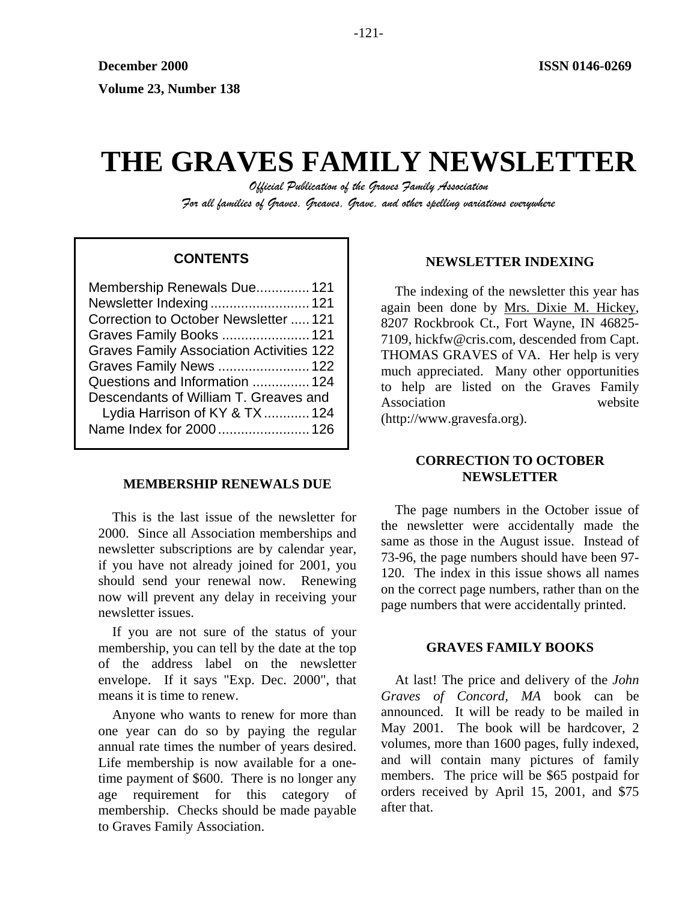# **THE GRAVES FAMILY NEWSLETTER**

*Official Publication of the Graves Family Association For all families of Graves, Greaves, Grave, and other spelling variations everywhere* 

# **CONTENTS**

| Membership Renewals Due 121                     |  |
|-------------------------------------------------|--|
| Newsletter Indexing 121                         |  |
| Correction to October Newsletter  121           |  |
| Graves Family Books  121                        |  |
| <b>Graves Family Association Activities 122</b> |  |
| Graves Family News  122                         |  |
| Questions and Information  124                  |  |
| Descendants of William T. Greaves and           |  |
| Lydia Harrison of KY & TX  124                  |  |
| Name Index for 2000  126                        |  |
|                                                 |  |

## **MEMBERSHIP RENEWALS DUE**

This is the last issue of the newsletter for 2000. Since all Association memberships and newsletter subscriptions are by calendar year, if you have not already joined for 2001, you should send your renewal now. Renewing now will prevent any delay in receiving your newsletter issues.

If you are not sure of the status of your membership, you can tell by the date at the top of the address label on the newsletter envelope. If it says "Exp. Dec. 2000", that means it is time to renew.

Anyone who wants to renew for more than one year can do so by paying the regular annual rate times the number of years desired. Life membership is now available for a onetime payment of \$600. There is no longer any age requirement for this category of membership. Checks should be made payable to Graves Family Association.

## **NEWSLETTER INDEXING**

The indexing of the newsletter this year has again been done by Mrs. Dixie M. Hickey, 8207 Rockbrook Ct., Fort Wayne, IN 46825- 7109, hickfw@cris.com, descended from Capt. THOMAS GRAVES of VA. Her help is very much appreciated. Many other opportunities to help are listed on the Graves Family Association website

(http://www.gravesfa.org).

## **CORRECTION TO OCTOBER NEWSLETTER**

The page numbers in the October issue of the newsletter were accidentally made the same as those in the August issue. Instead of 73-96, the page numbers should have been 97- 120. The index in this issue shows all names on the correct page numbers, rather than on the page numbers that were accidentally printed.

## **GRAVES FAMILY BOOKS**

At last! The price and delivery of the *John Graves of Concord, MA* book can be announced. It will be ready to be mailed in May 2001. The book will be hardcover, 2 volumes, more than 1600 pages, fully indexed, and will contain many pictures of family members. The price will be \$65 postpaid for orders received by April 15, 2001, and \$75 after that.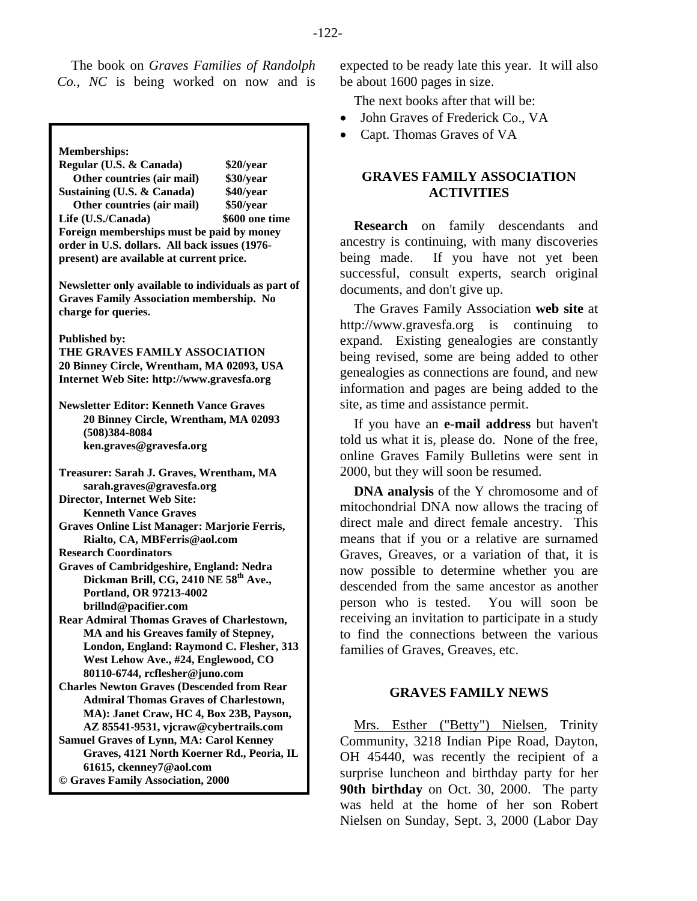The book on *Graves Families of Randolph Co., NC* is being worked on now and is

**Memberships:** 

**Regular (U.S. & Canada) \$20/year Other countries (air mail) \$30/year Sustaining (U.S. & Canada) \$40/year Other countries (air mail) \$50/year**  Life (U.S./Canada) \$600 one time **Foreign memberships must be paid by money order in U.S. dollars. All back issues (1976 present) are available at current price. Newsletter only available to individuals as part of Graves Family Association membership. No charge for queries. Published by: THE GRAVES FAMILY ASSOCIATION 20 Binney Circle, Wrentham, MA 02093, USA Internet Web Site: http://www.gravesfa.org Newsletter Editor: Kenneth Vance Graves 20 Binney Circle, Wrentham, MA 02093 (508)384-8084 ken.graves@gravesfa.org Treasurer: Sarah J. Graves, Wrentham, MA sarah.graves@gravesfa.org Director, Internet Web Site: Kenneth Vance Graves Graves Online List Manager: Marjorie Ferris, Rialto, CA, MBFerris@aol.com Research Coordinators Graves of Cambridgeshire, England: Nedra**  Dickman Brill, CG, 2410 NE 58<sup>th</sup> Ave., **Portland, OR 97213-4002 brillnd@pacifier.com Rear Admiral Thomas Graves of Charlestown, MA and his Greaves family of Stepney, London, England: Raymond C. Flesher, 313 West Lehow Ave., #24, Englewood, CO 80110-6744, rcflesher@juno.com Charles Newton Graves (Descended from Rear Admiral Thomas Graves of Charlestown, MA): Janet Craw, HC 4, Box 23B, Payson, AZ 85541-9531, vjcraw@cybertrails.com Samuel Graves of Lynn, MA: Carol Kenney Graves, 4121 North Koerner Rd., Peoria, IL 61615, ckenney7@aol.com** 

**© Graves Family Association, 2000**

expected to be ready late this year. It will also be about 1600 pages in size.

The next books after that will be:

- John Graves of Frederick Co., VA
- Capt. Thomas Graves of VA

# **GRAVES FAMILY ASSOCIATION ACTIVITIES**

**Research** on family descendants and ancestry is continuing, with many discoveries being made. If you have not yet been successful, consult experts, search original documents, and don't give up.

The Graves Family Association **web site** at http://www.gravesfa.org is continuing to expand. Existing genealogies are constantly being revised, some are being added to other genealogies as connections are found, and new information and pages are being added to the site, as time and assistance permit.

If you have an **e-mail address** but haven't told us what it is, please do. None of the free, online Graves Family Bulletins were sent in 2000, but they will soon be resumed.

**DNA analysis** of the Y chromosome and of mitochondrial DNA now allows the tracing of direct male and direct female ancestry. This means that if you or a relative are surnamed Graves, Greaves, or a variation of that, it is now possible to determine whether you are descended from the same ancestor as another person who is tested. You will soon be receiving an invitation to participate in a study to find the connections between the various families of Graves, Greaves, etc.

# **GRAVES FAMILY NEWS**

Mrs. Esther ("Betty") Nielsen, Trinity Community, 3218 Indian Pipe Road, Dayton, OH 45440, was recently the recipient of a surprise luncheon and birthday party for her **90th birthday** on Oct. 30, 2000. The party was held at the home of her son Robert Nielsen on Sunday, Sept. 3, 2000 (Labor Day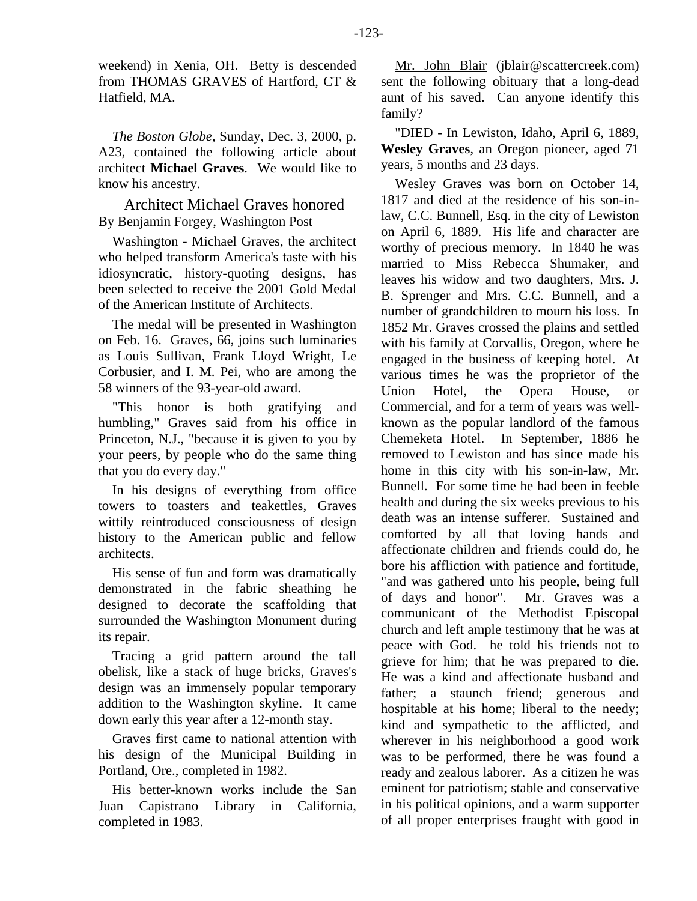weekend) in Xenia, OH. Betty is descended from THOMAS GRAVES of Hartford, CT & Hatfield, MA.

*The Boston Globe*, Sunday, Dec. 3, 2000, p. A23, contained the following article about architect **Michael Graves**. We would like to know his ancestry.

Architect Michael Graves honored By Benjamin Forgey, Washington Post

Washington - Michael Graves, the architect who helped transform America's taste with his idiosyncratic, history-quoting designs, has been selected to receive the 2001 Gold Medal of the American Institute of Architects.

The medal will be presented in Washington on Feb. 16. Graves, 66, joins such luminaries as Louis Sullivan, Frank Lloyd Wright, Le Corbusier, and I. M. Pei, who are among the 58 winners of the 93-year-old award.

"This honor is both gratifying and humbling," Graves said from his office in Princeton, N.J., "because it is given to you by your peers, by people who do the same thing that you do every day."

In his designs of everything from office towers to toasters and teakettles, Graves wittily reintroduced consciousness of design history to the American public and fellow architects.

His sense of fun and form was dramatically demonstrated in the fabric sheathing he designed to decorate the scaffolding that surrounded the Washington Monument during its repair.

Tracing a grid pattern around the tall obelisk, like a stack of huge bricks, Graves's design was an immensely popular temporary addition to the Washington skyline. It came down early this year after a 12-month stay.

Graves first came to national attention with his design of the Municipal Building in Portland, Ore., completed in 1982.

His better-known works include the San Juan Capistrano Library in California, completed in 1983.

Mr. John Blair (jblair@scattercreek.com) sent the following obituary that a long-dead aunt of his saved. Can anyone identify this family?

"DIED - In Lewiston, Idaho, April 6, 1889, **Wesley Graves**, an Oregon pioneer, aged 71 years, 5 months and 23 days.

Wesley Graves was born on October 14, 1817 and died at the residence of his son-inlaw, C.C. Bunnell, Esq. in the city of Lewiston on April 6, 1889. His life and character are worthy of precious memory. In 1840 he was married to Miss Rebecca Shumaker, and leaves his widow and two daughters, Mrs. J. B. Sprenger and Mrs. C.C. Bunnell, and a number of grandchildren to mourn his loss. In 1852 Mr. Graves crossed the plains and settled with his family at Corvallis, Oregon, where he engaged in the business of keeping hotel. At various times he was the proprietor of the Union Hotel, the Opera House, or Commercial, and for a term of years was wellknown as the popular landlord of the famous Chemeketa Hotel. In September, 1886 he removed to Lewiston and has since made his home in this city with his son-in-law, Mr. Bunnell. For some time he had been in feeble health and during the six weeks previous to his death was an intense sufferer. Sustained and comforted by all that loving hands and affectionate children and friends could do, he bore his affliction with patience and fortitude, "and was gathered unto his people, being full of days and honor". Mr. Graves was a communicant of the Methodist Episcopal church and left ample testimony that he was at peace with God. he told his friends not to grieve for him; that he was prepared to die. He was a kind and affectionate husband and father; a staunch friend; generous and hospitable at his home; liberal to the needy; kind and sympathetic to the afflicted, and wherever in his neighborhood a good work was to be performed, there he was found a ready and zealous laborer. As a citizen he was eminent for patriotism; stable and conservative in his political opinions, and a warm supporter of all proper enterprises fraught with good in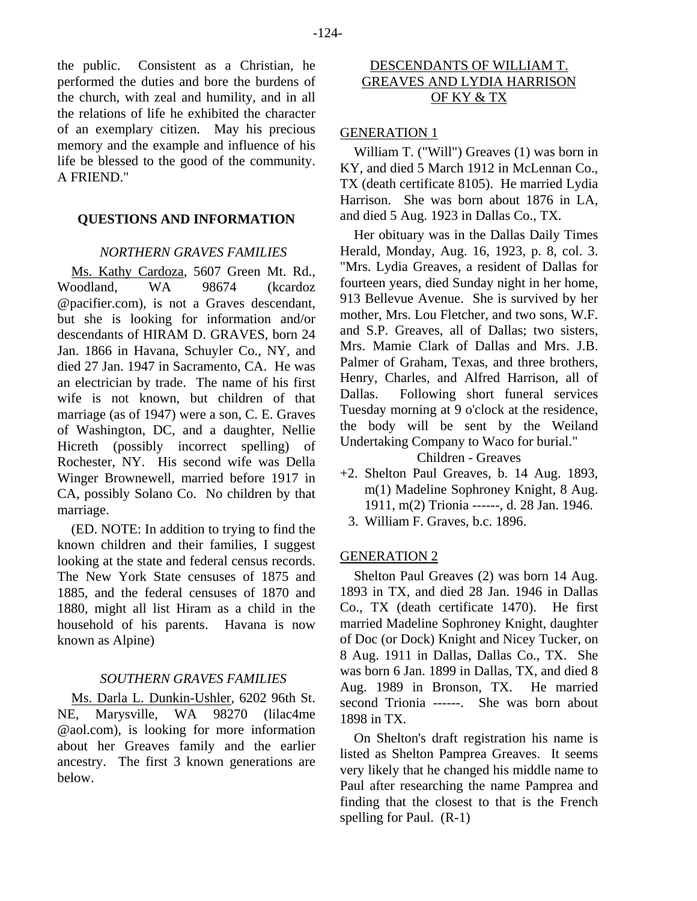the public. Consistent as a Christian, he performed the duties and bore the burdens of the church, with zeal and humility, and in all the relations of life he exhibited the character of an exemplary citizen. May his precious memory and the example and influence of his life be blessed to the good of the community. A FRIEND."

#### **QUESTIONS AND INFORMATION**

#### *NORTHERN GRAVES FAMILIES*

Ms. Kathy Cardoza, 5607 Green Mt. Rd., Woodland, WA 98674 (kcardoz @pacifier.com), is not a Graves descendant, but she is looking for information and/or descendants of HIRAM D. GRAVES, born 24 Jan. 1866 in Havana, Schuyler Co., NY, and died 27 Jan. 1947 in Sacramento, CA. He was an electrician by trade. The name of his first wife is not known, but children of that marriage (as of 1947) were a son, C. E. Graves of Washington, DC, and a daughter, Nellie Hicreth (possibly incorrect spelling) of Rochester, NY. His second wife was Della Winger Brownewell, married before 1917 in CA, possibly Solano Co. No children by that marriage.

(ED. NOTE: In addition to trying to find the known children and their families, I suggest looking at the state and federal census records. The New York State censuses of 1875 and 1885, and the federal censuses of 1870 and 1880, might all list Hiram as a child in the household of his parents. Havana is now known as Alpine)

## *SOUTHERN GRAVES FAMILIES*

Ms. Darla L. Dunkin-Ushler, 6202 96th St. NE, Marysville, WA 98270 (lilac4me @aol.com), is looking for more information about her Greaves family and the earlier ancestry. The first 3 known generations are below.

# DESCENDANTS OF WILLIAM T. GREAVES AND LYDIA HARRISON OF KY & TX

## GENERATION 1

William T. ("Will") Greaves (1) was born in KY, and died 5 March 1912 in McLennan Co., TX (death certificate 8105). He married Lydia Harrison. She was born about 1876 in LA, and died 5 Aug. 1923 in Dallas Co., TX.

Her obituary was in the Dallas Daily Times Herald, Monday, Aug. 16, 1923, p. 8, col. 3. "Mrs. Lydia Greaves, a resident of Dallas for fourteen years, died Sunday night in her home, 913 Bellevue Avenue. She is survived by her mother, Mrs. Lou Fletcher, and two sons, W.F. and S.P. Greaves, all of Dallas; two sisters, Mrs. Mamie Clark of Dallas and Mrs. J.B. Palmer of Graham, Texas, and three brothers, Henry, Charles, and Alfred Harrison, all of Dallas. Following short funeral services Tuesday morning at 9 o'clock at the residence, the body will be sent by the Weiland Undertaking Company to Waco for burial."

# Children - Greaves

- +2. Shelton Paul Greaves, b. 14 Aug. 1893, m(1) Madeline Sophroney Knight, 8 Aug. 1911, m(2) Trionia ------, d. 28 Jan. 1946.
	- 3. William F. Graves, b.c. 1896.

#### GENERATION 2

Shelton Paul Greaves (2) was born 14 Aug. 1893 in TX, and died 28 Jan. 1946 in Dallas Co., TX (death certificate 1470). He first married Madeline Sophroney Knight, daughter of Doc (or Dock) Knight and Nicey Tucker, on 8 Aug. 1911 in Dallas, Dallas Co., TX. She was born 6 Jan. 1899 in Dallas, TX, and died 8 Aug. 1989 in Bronson, TX. He married second Trionia ------. She was born about 1898 in TX.

On Shelton's draft registration his name is listed as Shelton Pamprea Greaves. It seems very likely that he changed his middle name to Paul after researching the name Pamprea and finding that the closest to that is the French spelling for Paul. (R-1)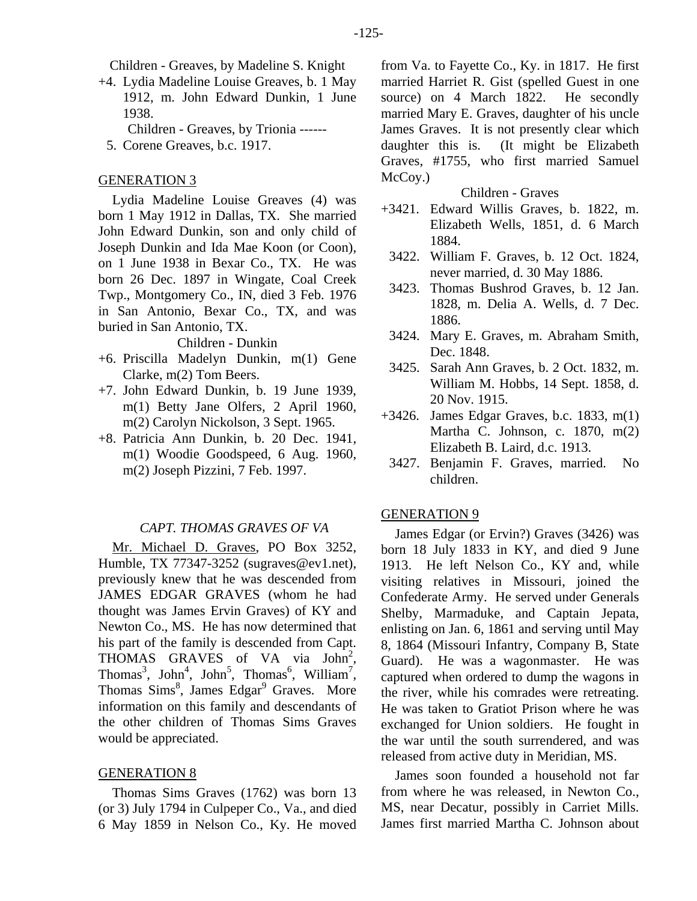Children - Greaves, by Madeline S. Knight

- +4. Lydia Madeline Louise Greaves, b. 1 May 1912, m. John Edward Dunkin, 1 June 1938.
	- Children Greaves, by Trionia ------
	- 5. Corene Greaves, b.c. 1917.

#### GENERATION 3

Lydia Madeline Louise Greaves (4) was born 1 May 1912 in Dallas, TX. She married John Edward Dunkin, son and only child of Joseph Dunkin and Ida Mae Koon (or Coon), on 1 June 1938 in Bexar Co., TX. He was born 26 Dec. 1897 in Wingate, Coal Creek Twp., Montgomery Co., IN, died 3 Feb. 1976 in San Antonio, Bexar Co., TX, and was buried in San Antonio, TX.

#### Children - Dunkin

- +6. Priscilla Madelyn Dunkin, m(1) Gene Clarke, m(2) Tom Beers.
- +7. John Edward Dunkin, b. 19 June 1939, m(1) Betty Jane Olfers, 2 April 1960, m(2) Carolyn Nickolson, 3 Sept. 1965.
- +8. Patricia Ann Dunkin, b. 20 Dec. 1941, m(1) Woodie Goodspeed, 6 Aug. 1960, m(2) Joseph Pizzini, 7 Feb. 1997.

#### *CAPT. THOMAS GRAVES OF VA*

Mr. Michael D. Graves, PO Box 3252, Humble, TX 77347-3252 (sugraves@ev1.net), previously knew that he was descended from JAMES EDGAR GRAVES (whom he had thought was James Ervin Graves) of KY and Newton Co., MS. He has now determined that his part of the family is descended from Capt. THOMAS GRAVES of VA via John<sup>2</sup>, Thomas<sup>3</sup>, John<sup>4</sup>, John<sup>5</sup>, Thomas<sup>6</sup>, William<sup>7</sup>, Thomas Sims<sup>8</sup>, James Edgar<sup>9</sup> Graves. More information on this family and descendants of the other children of Thomas Sims Graves would be appreciated.

#### GENERATION 8

Thomas Sims Graves (1762) was born 13 (or 3) July 1794 in Culpeper Co., Va., and died 6 May 1859 in Nelson Co., Ky. He moved from Va. to Fayette Co., Ky. in 1817. He first married Harriet R. Gist (spelled Guest in one source) on 4 March 1822. He secondly married Mary E. Graves, daughter of his uncle James Graves. It is not presently clear which daughter this is. (It might be Elizabeth Graves, #1755, who first married Samuel McCoy.)

#### Children - Graves

- +3421. Edward Willis Graves, b. 1822, m. Elizabeth Wells, 1851, d. 6 March 1884.
- 3422. William F. Graves, b. 12 Oct. 1824, never married, d. 30 May 1886.
- 3423. Thomas Bushrod Graves, b. 12 Jan. 1828, m. Delia A. Wells, d. 7 Dec. 1886.
- 3424. Mary E. Graves, m. Abraham Smith, Dec. 1848.
- 3425. Sarah Ann Graves, b. 2 Oct. 1832, m. William M. Hobbs, 14 Sept. 1858, d. 20 Nov. 1915.
- +3426. James Edgar Graves, b.c. 1833, m(1) Martha C. Johnson, c. 1870, m(2) Elizabeth B. Laird, d.c. 1913.
	- 3427. Benjamin F. Graves, married. No children.

#### GENERATION 9

James Edgar (or Ervin?) Graves (3426) was born 18 July 1833 in KY, and died 9 June 1913. He left Nelson Co., KY and, while visiting relatives in Missouri, joined the Confederate Army. He served under Generals Shelby, Marmaduke, and Captain Jepata, enlisting on Jan. 6, 1861 and serving until May 8, 1864 (Missouri Infantry, Company B, State Guard). He was a wagonmaster. He was captured when ordered to dump the wagons in the river, while his comrades were retreating. He was taken to Gratiot Prison where he was exchanged for Union soldiers. He fought in the war until the south surrendered, and was released from active duty in Meridian, MS.

James soon founded a household not far from where he was released, in Newton Co., MS, near Decatur, possibly in Carriet Mills. James first married Martha C. Johnson about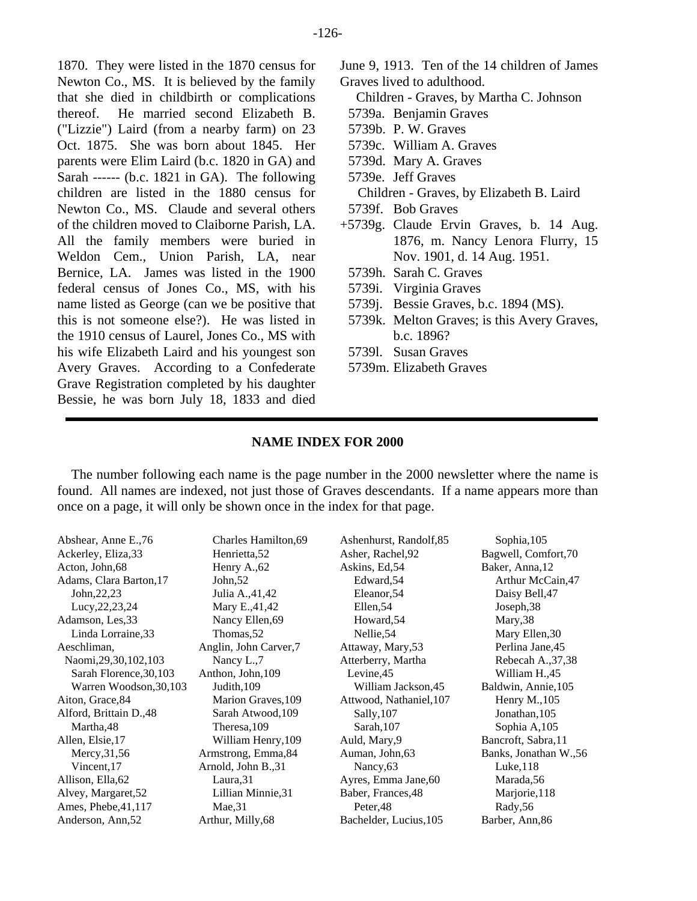1870. They were listed in the 1870 census for Newton Co., MS. It is believed by the family that she died in childbirth or complications thereof. He married second Elizabeth B. ("Lizzie") Laird (from a nearby farm) on 23 Oct. 1875. She was born about 1845. Her parents were Elim Laird (b.c. 1820 in GA) and Sarah ------ (b.c. 1821 in GA). The following children are listed in the 1880 census for Newton Co., MS. Claude and several others of the children moved to Claiborne Parish, LA. All the family members were buried in Weldon Cem., Union Parish, LA, near Bernice, LA. James was listed in the 1900 federal census of Jones Co., MS, with his name listed as George (can we be positive that this is not someone else?). He was listed in the 1910 census of Laurel, Jones Co., MS with his wife Elizabeth Laird and his youngest son Avery Graves. According to a Confederate Grave Registration completed by his daughter Bessie, he was born July 18, 1833 and died

- June 9, 1913. Ten of the 14 children of James Graves lived to adulthood.
	- Children Graves, by Martha C. Johnson
- 5739a. Benjamin Graves
- 5739b. P. W. Graves
- 5739c. William A. Graves
- 5739d. Mary A. Graves
- 5739e. Jeff Graves
- Children Graves, by Elizabeth B. Laird
- 5739f. Bob Graves
- +5739g. Claude Ervin Graves, b. 14 Aug. 1876, m. Nancy Lenora Flurry, 15 Nov. 1901, d. 14 Aug. 1951.
- 5739h. Sarah C. Graves
- 5739i. Virginia Graves
- 5739j. Bessie Graves, b.c. 1894 (MS).
- 5739k. Melton Graves; is this Avery Graves, b.c. 1896?
- 5739l. Susan Graves
- 5739m. Elizabeth Graves

## **NAME INDEX FOR 2000**

The number following each name is the page number in the 2000 newsletter where the name is found. All names are indexed, not just those of Graves descendants. If a name appears more than once on a page, it will only be shown once in the index for that page.

| Abshear, Anne E.,76<br>Ackerley, Eliza, 33<br>Acton, John, 68 | Charles Hamilton, 69<br>Henrietta, 52<br>Henry A., 62 | Ashenhurst, Randolf, 85<br>Asher, Rachel, 92<br>Askins, Ed, 54 | Sophia, 105<br>Bagwell, Comfort, 70<br>Baker, Anna, 12 |
|---------------------------------------------------------------|-------------------------------------------------------|----------------------------------------------------------------|--------------------------------------------------------|
| Adams, Clara Barton, 17                                       | John, $52$                                            | Edward, 54                                                     | Arthur McCain, 47                                      |
| John, 22, 23                                                  | Julia A., 41, 42                                      | Eleanor, 54                                                    | Daisy Bell, 47                                         |
| Lucy, 22, 23, 24                                              | Mary E., 41, 42                                       | Ellen, 54                                                      | Joseph, 38                                             |
| Adamson, Les, 33                                              | Nancy Ellen, 69                                       | Howard, 54                                                     | Mary, 38                                               |
| Linda Lorraine, 33                                            | Thomas, 52                                            | Nellie, 54                                                     | Mary Ellen, 30                                         |
| Aeschliman,                                                   | Anglin, John Carver,7                                 | Attaway, Mary, 53                                              | Perlina Jane, 45                                       |
| Naomi, 29, 30, 102, 103                                       | Nancy L.,7                                            | Atterberry, Martha                                             | Rebecah A., 37, 38                                     |
| Sarah Florence, 30, 103                                       | Anthon, John, 109                                     | Levine, 45                                                     | William H.,45                                          |
| Warren Woodson, 30, 103                                       | Judith, 109                                           | William Jackson, 45                                            | Baldwin, Annie, 105                                    |
| Aiton, Grace, 84                                              | Marion Graves, 109                                    | Attwood, Nathaniel, 107                                        | Henry M., 105                                          |
| Alford, Brittain D., 48                                       | Sarah Atwood, 109                                     | Sally, 107                                                     | Jonathan, 105                                          |
| Martha, 48                                                    | Theresa, 109                                          | Sarah, 107                                                     | Sophia A,105                                           |
| Allen, Elsie, 17                                              | William Henry, 109                                    | Auld, Mary, 9                                                  | Bancroft, Sabra, 11                                    |
| Mercy, 31, 56                                                 | Armstrong, Emma, 84                                   | Auman, John, 63                                                | Banks, Jonathan W.,56                                  |
| Vincent, 17                                                   | Arnold, John B., 31                                   | Nancy <sub>,63</sub>                                           | Luke, 118                                              |
| Allison, Ella, 62                                             | Laura, 31                                             | Ayres, Emma Jane, 60                                           | Marada, 56                                             |
| Alvey, Margaret, 52                                           | Lillian Minnie, 31                                    | Baber, Frances, 48                                             | Marjorie, 118                                          |
| Ames, Phebe, $41,117$                                         | Mae,31                                                | Peter, 48                                                      | Rady, 56                                               |
| Anderson, Ann, 52                                             | Arthur, Milly, 68                                     | Bachelder, Lucius, 105                                         | Barber, Ann, 86                                        |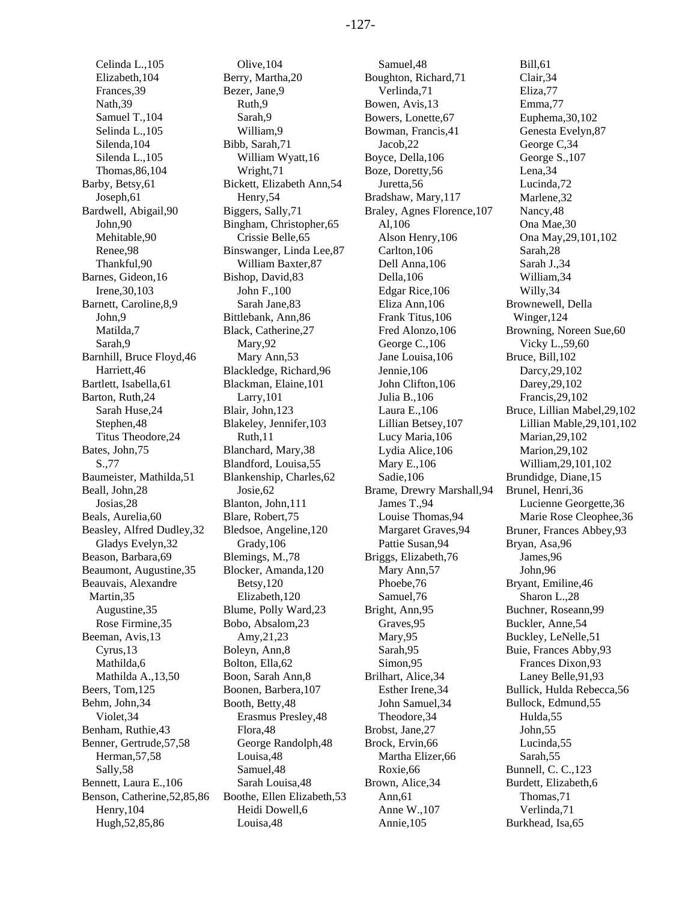Celinda L.,105 Elizabeth,104 Frances,39 Nath,39 Samuel T.,104 Selinda L.,105 Silenda,104 Silenda L.,105 Thomas,86,104 Barby, Betsy,61 Joseph,61 Bardwell, Abigail,90 John,90 Mehitable,90 Renee,98 Thankful,90 Barnes, Gideon,16 Irene,30,103 Barnett, Caroline,8,9 John,9 Matilda,7 Sarah,9 Barnhill, Bruce Floyd,46 Harriett,46 Bartlett, Isabella,61 Barton, Ruth,24 Sarah Huse,24 Stephen,48 Titus Theodore,24 Bates, John,75 S.,77 Baumeister, Mathilda,51 Beall, John,28 Josias,28 Beals, Aurelia,60 Beasley, Alfred Dudley,32 Gladys Evelyn,32 Beason, Barbara,69 Beaumont, Augustine,35 Beauvais, Alexandre Martin,35 Augustine,35 Rose Firmine,35 Beeman, Avis,13 Cyrus,13 Mathilda,6 Mathilda A.,13,50 Beers, Tom,125 Behm, John,34 Violet,34 Benham, Ruthie,43 Benner, Gertrude,57,58 Herman,57,58 Sally,58 Bennett, Laura E.,106 Benson, Catherine,52,85,86 Henry,104 Hugh,52,85,86

Olive,104 Berry, Martha,20 Bezer, Jane,9 Ruth,9 Sarah,9 William,9 Bibb, Sarah,71 William Wyatt,16 Wright,71 Bickett, Elizabeth Ann,54 Henry,54 Biggers, Sally,71 Bingham, Christopher,65 Crissie Belle,65 Binswanger, Linda Lee,87 William Baxter,87 Bishop, David,83 John F.,100 Sarah Jane,83 Bittlebank, Ann,86 Black, Catherine,27 Mary,92 Mary Ann,53 Blackledge, Richard,96 Blackman, Elaine,101 Larry,101 Blair, John,123 Blakeley, Jennifer,103 Ruth,11 Blanchard, Mary,38 Blandford, Louisa,55 Blankenship, Charles,62 Josie,62 Blanton, John,111 Blare, Robert,75 Bledsoe, Angeline,120 Grady,106 Blemings, M.,78 Blocker, Amanda,120 Betsy,120 Elizabeth,120 Blume, Polly Ward,23 Bobo, Absalom,23 Amy,21,23 Boleyn, Ann,8 Bolton, Ella,62 Boon, Sarah Ann,8 Boonen, Barbera,107 Booth, Betty,48 Erasmus Presley,48 Flora,48 George Randolph,48 Louisa,48 Samuel,48 Sarah Louisa,48 Boothe, Ellen Elizabeth,53 Heidi Dowell,6 Louisa,48

Samuel,48 Boughton, Richard,71 Verlinda,71 Bowen, Avis,13 Bowers, Lonette,67 Bowman, Francis,41 Jacob,22 Boyce, Della,106 Boze, Doretty,56 Juretta,56 Bradshaw, Mary,117 Braley, Agnes Florence,107 Al,106 Alson Henry,106 Carlton,106 Dell Anna,106 Della,106 Edgar Rice,106 Eliza Ann,106 Frank Titus,106 Fred Alonzo,106 George C.,106 Jane Louisa,106 Jennie,106 John Clifton,106 Julia B.,106 Laura E.,106 Lillian Betsey,107 Lucy Maria,106 Lydia Alice,106 Mary E.,106 Sadie,106 Brame, Drewry Marshall,94 James T.,94 Louise Thomas,94 Margaret Graves,94 Pattie Susan,94 Briggs, Elizabeth,76 Mary Ann,57 Phoebe,76 Samuel,76 Bright, Ann,95 Graves,95 Mary,95 Sarah,95 Simon,95 Brilhart, Alice,34 Esther Irene,34 John Samuel,34 Theodore,34 Brobst, Jane,27 Brock, Ervin,66 Martha Elizer,66 Roxie,66 Brown, Alice,34 Ann,61 Anne W.,107 Annie,105

Bill,61 Clair,34 Eliza,77 Emma,77 Euphema,30,102 Genesta Evelyn,87 George C,34 George S.,107 Lena,34 Lucinda,72 Marlene,32 Nancy,48 Ona Mae,30 Ona May,29,101,102 Sarah,28 Sarah J.,34 William,34 Willy,34 Brownewell, Della Winger,124 Browning, Noreen Sue,60 Vicky L.,59,60 Bruce, Bill,102 Darcy,29,102 Darey,29,102 Francis,29,102 Bruce, Lillian Mabel,29,102 Lillian Mable,29,101,102 Marian,29,102 Marion,29,102 William,29,101,102 Brundidge, Diane,15 Brunel, Henri,36 Lucienne Georgette,36 Marie Rose Cleophee,36 Bruner, Frances Abbey,93 Bryan, Asa,96 James,96 John,96 Bryant, Emiline,46 Sharon L.,28 Buchner, Roseann,99 Buckler, Anne,54 Buckley, LeNelle,51 Buie, Frances Abby,93 Frances Dixon,93 Laney Belle,91,93 Bullick, Hulda Rebecca,56 Bullock, Edmund,55 Hulda,55 John,55 Lucinda,55 Sarah,55 Bunnell, C. C.,123 Burdett, Elizabeth,6 Thomas,71 Verlinda,71 Burkhead, Isa,65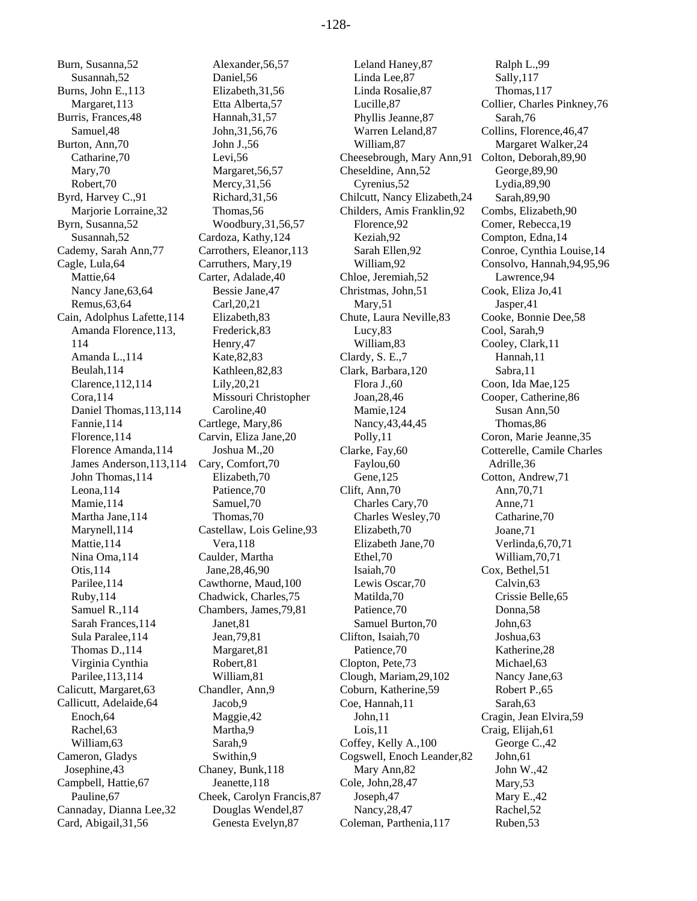Burn, Susanna,52 Susannah,52 Burns, John E.,113 Margaret,113 Burris, Frances,48 Samuel,48 Burton, Ann,70 Catharine,70 Mary,70 Robert,70 Byrd, Harvey C.,91 Marjorie Lorraine,32 Byrn, Susanna,52 Susannah,52 Cademy, Sarah Ann,77 Cagle, Lula,64 Mattie,64 Nancy Jane,63,64 Remus,63,64 Cain, Adolphus Lafette,114 Amanda Florence,113, 114 Amanda L.,114 Beulah,114 Clarence,112,114 Cora,114 Daniel Thomas,113,114 Fannie,114 Florence,114 Florence Amanda,114 James Anderson,113,114 John Thomas,114 Leona,114 Mamie,114 Martha Jane,114 Marynell,114 Mattie,114 Nina Oma,114 Otis,114 Parilee,114 Ruby,114 Samuel R.,114 Sarah Frances,114 Sula Paralee,114 Thomas D.,114 Virginia Cynthia Parilee,113,114 Calicutt, Margaret,63 Callicutt, Adelaide,64 Enoch,64 Rachel,63 William,63 Cameron, Gladys Josephine,43 Campbell, Hattie,67 Pauline,67 Cannaday, Dianna Lee,32 Card, Abigail,31,56

Alexander,56,57 Daniel,56 Elizabeth,31,56 Etta Alberta,57 Hannah,31,57 John,31,56,76 John J.,56 Levi,56 Margaret,56,57 Mercy,31,56 Richard,31,56 Thomas,56 Woodbury,31,56,57 Cardoza, Kathy,124 Carrothers, Eleanor,113 Carruthers, Mary,19 Carter, Adalade,40 Bessie Jane,47 Carl,20,21 Elizabeth,83 Frederick,83 Henry,47 Kate,82,83 Kathleen,82,83 Lily,20,21 Missouri Christopher Caroline,40 Cartlege, Mary,86 Carvin, Eliza Jane,20 Joshua M.,20 Cary, Comfort,70 Elizabeth,70 Patience,70 Samuel,70 Thomas,70 Castellaw, Lois Geline,93 Vera,118 Caulder, Martha Jane,28,46,90 Cawthorne, Maud,100 Chadwick, Charles,75 Chambers, James,79,81 Janet,81 Jean,79,81 Margaret,81 Robert,81 William,81 Chandler, Ann,9 Jacob,9 Maggie,42 Martha,9 Sarah,9 Swithin,9 Chaney, Bunk,118 Jeanette,118 Cheek, Carolyn Francis,87 Douglas Wendel,87 Genesta Evelyn,87

Leland Haney,87 Linda Lee,87 Linda Rosalie,87 Lucille,87 Phyllis Jeanne,87 Warren Leland,87 William,87 Cheesebrough, Mary Ann,91 Colton, Deborah,89,90 Cheseldine, Ann,52 Cyrenius,52 Chilcutt, Nancy Elizabeth,24 Childers, Amis Franklin,92 Florence,92 Keziah,92 Sarah Ellen,92 William,92 Chloe, Jeremiah,52 Christmas, John,51 Mary,51 Chute, Laura Neville,83 Lucy,83 William,83 Clardy, S. E.,7 Clark, Barbara,120 Flora J.,60 Joan,28,46 Mamie,124 Nancy,43,44,45 Polly,11 Clarke, Fay,60 Faylou,60 Gene,125 Clift, Ann,70 Charles Cary,70 Charles Wesley,70 Elizabeth,70 Elizabeth Jane,70 Ethel,70 Isaiah,70 Lewis Oscar,70 Matilda,70 Patience,70 Samuel Burton,70 Clifton, Isaiah,70 Patience,70 Clopton, Pete,73 Clough, Mariam,29,102 Coburn, Katherine,59 Coe, Hannah,11 John,11 Lois,11 Coffey, Kelly A.,100 Cogswell, Enoch Leander,82 Mary Ann,82 Cole, John,28,47 Joseph,47 Nancy,28,47 Coleman, Parthenia,117

Ralph L.,99 Sally,117 Thomas,117 Collier, Charles Pinkney,76 Sarah,76 Collins, Florence,46,47 Margaret Walker,24 George,89,90 Lydia,89,90 Sarah,89,90 Combs, Elizabeth,90 Comer, Rebecca,19 Compton, Edna,14 Conroe, Cynthia Louise,14 Consolvo, Hannah,94,95,96 Lawrence,94 Cook, Eliza Jo,41 Jasper,41 Cooke, Bonnie Dee,58 Cool, Sarah,9 Cooley, Clark,11 Hannah,11 Sabra,11 Coon, Ida Mae,125 Cooper, Catherine,86 Susan Ann,50 Thomas,86 Coron, Marie Jeanne,35 Cotterelle, Camile Charles Adrille,36 Cotton, Andrew,71 Ann,70,71 Anne,71 Catharine,70 Joane,71 Verlinda,6,70,71 William,70,71 Cox, Bethel,51 Calvin,63 Crissie Belle,65 Donna,58 John,63 Joshua,63 Katherine,28 Michael,63 Nancy Jane,63 Robert P.,65 Sarah,63 Cragin, Jean Elvira,59 Craig, Elijah,61 George C.,42 John,61 John W.,42 Mary,53 Mary E.,42 Rachel,52 Ruben,53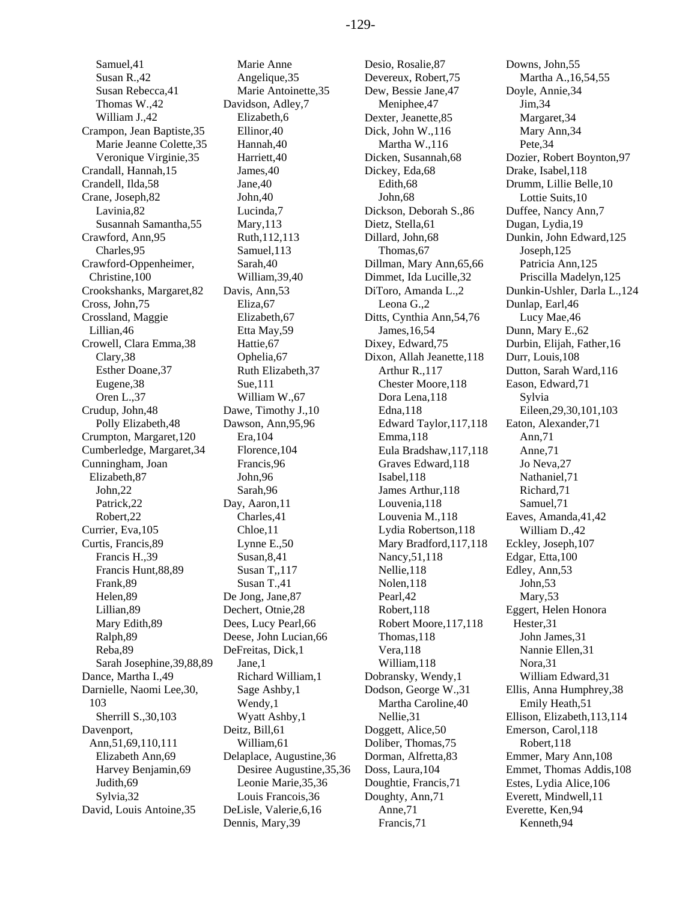Samuel,41 Susan R.,42 Susan Rebecca,41 Thomas W.,42 William J.,42 Crampon, Jean Baptiste,35 Marie Jeanne Colette,35 Veronique Virginie,35 Crandall, Hannah,15 Crandell, Ilda,58 Crane, Joseph,82 Lavinia,82 Susannah Samantha,55 Crawford, Ann,95 Charles,95 Crawford-Oppenheimer, Christine,100 Crookshanks, Margaret,82 Cross, John,75 Crossland, Maggie Lillian,46 Crowell, Clara Emma,38 Clary,38 Esther Doane,37 Eugene,38 Oren L.,37 Crudup, John,48 Polly Elizabeth,48 Crumpton, Margaret,120 Cumberledge, Margaret,34 Cunningham, Joan Elizabeth,87 John,22 Patrick,22 Robert,22 Currier, Eva,105 Curtis, Francis,89 Francis H.,39 Francis Hunt,88,89 Frank,89 Helen,89 Lillian,89 Mary Edith,89 Ralph,89 Reba,89 Sarah Josephine,39,88,89 Dance, Martha I.,49 Darnielle, Naomi Lee,30, 103 Sherrill S.,30,103 Davenport, Ann,51,69,110,111 Elizabeth Ann,69 Harvey Benjamin,69 Judith,69 Sylvia,32 David, Louis Antoine,35

Marie Anne Angelique,35 Marie Antoinette,35 Davidson, Adley,7 Elizabeth,6 Ellinor,40 Hannah,40 Harriett,40 James,40 Jane,40 John,40 Lucinda,7 Mary,113 Ruth,112,113 Samuel,113 Sarah,40 William,39,40 Davis, Ann,53 Eliza,67 Elizabeth,67 Etta May,59 Hattie,67 Ophelia,67 Ruth Elizabeth,37 Sue,111 William W.,67 Dawe, Timothy J.,10 Dawson, Ann,95,96 Era,104 Florence,104 Francis,96 John,96 Sarah,96 Day, Aaron,11 Charles,41 Chloe,11 Lynne E.,50 Susan,8,41 Susan T,,117 Susan T.,41 De Jong, Jane,87 Dechert, Otnie,28 Dees, Lucy Pearl,66 Deese, John Lucian,66 DeFreitas, Dick,1 Jane,1 Richard William,1 Sage Ashby,1 Wendy,1 Wyatt Ashby,1 Deitz, Bill,61 William,61 Delaplace, Augustine,36 Desiree Augustine,35,36 Leonie Marie,35,36 Louis Francois,36 DeLisle, Valerie,6,16 Dennis, Mary,39

Desio, Rosalie,87 Devereux, Robert,75 Dew, Bessie Jane,47 Meniphee,47 Dexter, Jeanette,85 Dick, John W.,116 Martha W.,116 Dicken, Susannah,68 Dickey, Eda,68 Edith,68 John,68 Dickson, Deborah S.,86 Dietz, Stella,61 Dillard, John,68 Thomas,67 Dillman, Mary Ann,65,66 Dimmet, Ida Lucille,32 DiToro, Amanda L.,2 Leona G.,2 Ditts, Cynthia Ann,54,76 James,16,54 Dixey, Edward,75 Dixon, Allah Jeanette,118 Arthur R.,117 Chester Moore,118 Dora Lena,118 Edna,118 Edward Taylor,117,118 Emma,118 Eula Bradshaw,117,118 Graves Edward,118 Isabel,118 James Arthur,118 Louvenia,118 Louvenia M.,118 Lydia Robertson,118 Mary Bradford,117,118 Nancy,51,118 Nellie,118 Nolen,118 Pearl,42 Robert,118 Robert Moore,117,118 Thomas,118 Vera,118 William,118 Dobransky, Wendy,1 Dodson, George W.,31 Martha Caroline,40 Nellie,31 Doggett, Alice,50 Doliber, Thomas,75 Dorman, Alfretta,83 Doss, Laura,104 Doughtie, Francis,71 Doughty, Ann,71 Anne,71 Francis,71

Downs, John,55 Martha A.,16,54,55 Doyle, Annie,34 Jim,34 Margaret,34 Mary Ann,34 Pete,34 Dozier, Robert Boynton,97 Drake, Isabel,118 Drumm, Lillie Belle,10 Lottie Suits,10 Duffee, Nancy Ann,7 Dugan, Lydia,19 Dunkin, John Edward,125 Joseph,125 Patricia Ann,125 Priscilla Madelyn,125 Dunkin-Ushler, Darla L.,124 Dunlap, Earl,46 Lucy Mae,46 Dunn, Mary E.,62 Durbin, Elijah, Father,16 Durr, Louis,108 Dutton, Sarah Ward,116 Eason, Edward,71 Sylvia Eileen,29,30,101,103 Eaton, Alexander,71 Ann,71 Anne,71 Jo Neva,27 Nathaniel,71 Richard,71 Samuel,71 Eaves, Amanda,41,42 William D.,42 Eckley, Joseph,107 Edgar, Etta,100 Edley, Ann,53 John,53 Mary,53 Eggert, Helen Honora Hester,31 John James,31 Nannie Ellen,31 Nora,31 William Edward,31 Ellis, Anna Humphrey,38 Emily Heath,51 Ellison, Elizabeth,113,114 Emerson, Carol,118 Robert,118 Emmer, Mary Ann,108 Emmet, Thomas Addis,108 Estes, Lydia Alice,106 Everett, Mindwell,11 Everette, Ken,94 Kenneth,94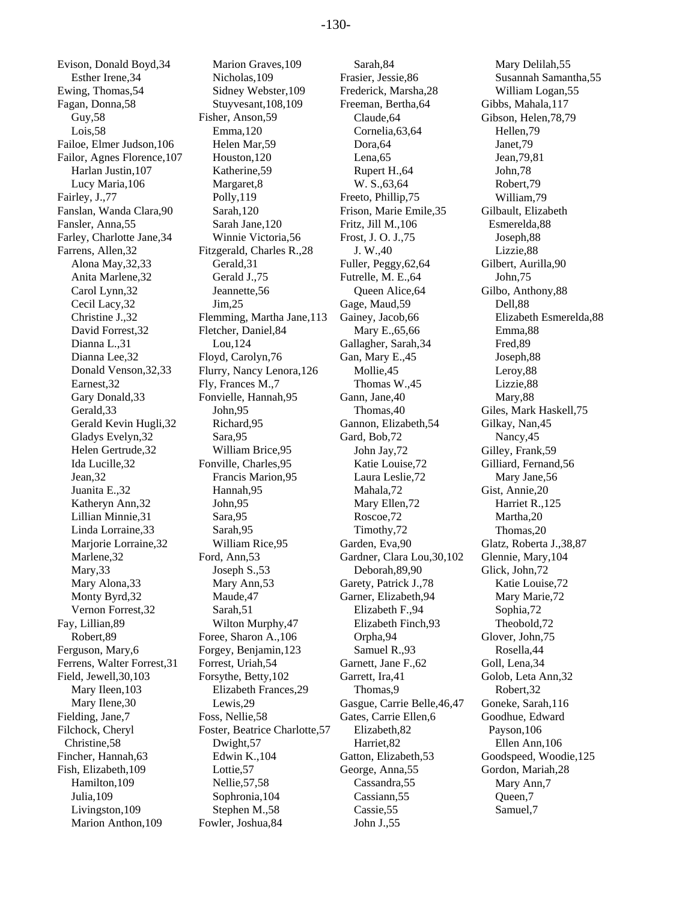Evison, Donald Boyd,34 Esther Irene,34 Ewing, Thomas,54 Fagan, Donna,58 Guy,58 Lois,58 Failoe, Elmer Judson,106 Failor, Agnes Florence,107 Harlan Justin,107 Lucy Maria,106 Fairley, J.,77 Fanslan, Wanda Clara,90 Fansler, Anna,55 Farley, Charlotte Jane,34 Farrens, Allen,32 Alona May,32,33 Anita Marlene,32 Carol Lynn,32 Cecil Lacy,32 Christine J.,32 David Forrest,32 Dianna L.,31 Dianna Lee,32 Donald Venson,32,33 Earnest,32 Gary Donald,33 Gerald,33 Gerald Kevin Hugli,32 Gladys Evelyn,32 Helen Gertrude,32 Ida Lucille,32 Jean,32 Juanita E.,32 Katheryn Ann,32 Lillian Minnie,31 Linda Lorraine,33 Marjorie Lorraine,32 Marlene,32 Mary,33 Mary Alona,33 Monty Byrd,32 Vernon Forrest,32 Fay, Lillian,89 Robert,89 Ferguson, Mary,6 Ferrens, Walter Forrest,31 Field, Jewell,30,103 Mary Ileen,103 Mary Ilene,30 Fielding, Jane,7 Filchock, Cheryl Christine,58 Fincher, Hannah,63 Fish, Elizabeth,109 Hamilton,109 Julia,109 Livingston,109 Marion Anthon,109

Marion Graves,109 Nicholas,109 Sidney Webster,109 Stuyvesant,108,109 Fisher, Anson,59 Emma,120 Helen Mar,59 Houston,120 Katherine,59 Margaret,8 Polly,119 Sarah,120 Sarah Jane,120 Winnie Victoria,56 Fitzgerald, Charles R.,28 Gerald,31 Gerald J.,75 Jeannette,56 Jim,25 Flemming, Martha Jane,113 Fletcher, Daniel,84 Lou,124 Floyd, Carolyn,76 Flurry, Nancy Lenora,126 Fly, Frances M.,7 Fonvielle, Hannah,95 John,95 Richard,95 Sara,95 William Brice,95 Fonville, Charles,95 Francis Marion,95 Hannah,95 John,95 Sara,95 Sarah,95 William Rice,95 Ford, Ann,53 Joseph S.,53 Mary Ann,53 Maude,47 Sarah,51 Wilton Murphy,47 Foree, Sharon A.,106 Forgey, Benjamin,123 Forrest, Uriah,54 Forsythe, Betty,102 Elizabeth Frances,29 Lewis,29 Foss, Nellie,58 Foster, Beatrice Charlotte,57 Dwight,57 Edwin K.,104 Lottie,57 Nellie,57,58 Sophronia,104 Stephen M.,58 Fowler, Joshua,84

Sarah,84 Frasier, Jessie,86 Frederick, Marsha,28 Freeman, Bertha,64 Claude,64 Cornelia,63,64 Dora,64 Lena,65 Rupert H.,64 W. S.,63,64 Freeto, Phillip,75 Frison, Marie Emile,35 Fritz, Jill M.,106 Frost, J. O. J.,75 J. W.,40 Fuller, Peggy,62,64 Futrelle, M. E.,64 Queen Alice,64 Gage, Maud,59 Gainey, Jacob,66 Mary E.,65,66 Gallagher, Sarah,34 Gan, Mary E.,45 Mollie,45 Thomas W.,45 Gann, Jane,40 Thomas,40 Gannon, Elizabeth,54 Gard, Bob,72 John Jay,72 Katie Louise,72 Laura Leslie,72 Mahala,72 Mary Ellen,72 Roscoe,72 Timothy,72 Garden, Eva,90 Gardner, Clara Lou,30,102 Deborah,89,90 Garety, Patrick J.,78 Garner, Elizabeth,94 Elizabeth F.,94 Elizabeth Finch,93 Orpha,94 Samuel R.,93 Garnett, Jane F.,62 Garrett, Ira,41 Thomas,9 Gasgue, Carrie Belle,46,47 Gates, Carrie Ellen,6 Elizabeth,82 Harriet,82 Gatton, Elizabeth,53 George, Anna,55 Cassandra,55 Cassiann,55 Cassie,55 John J.,55

Mary Delilah,55 Susannah Samantha,55 William Logan,55 Gibbs, Mahala,117 Gibson, Helen,78,79 Hellen,79 Janet,79 Jean,79,81 John,78 Robert,79 William,79 Gilbault, Elizabeth Esmerelda,88 Joseph,88 Lizzie,88 Gilbert, Aurilla,90 John,75 Gilbo, Anthony,88 Dell,88 Elizabeth Esmerelda,88 Emma,88 Fred,89 Joseph,88 Leroy,88 Lizzie,88 Mary,88 Giles, Mark Haskell,75 Gilkay, Nan,45 Nancy,45 Gilley, Frank,59 Gilliard, Fernand,56 Mary Jane,56 Gist, Annie,20 Harriet R.,125 Martha,20 Thomas,20 Glatz, Roberta J.,38,87 Glennie, Mary,104 Glick, John,72 Katie Louise,72 Mary Marie,72 Sophia,72 Theobold,72 Glover, John,75 Rosella,44 Goll, Lena,34 Golob, Leta Ann,32 Robert,32 Goneke, Sarah,116 Goodhue, Edward Payson,106 Ellen Ann,106 Goodspeed, Woodie,125 Gordon, Mariah,28 Mary Ann,7 Queen,7 Samuel,7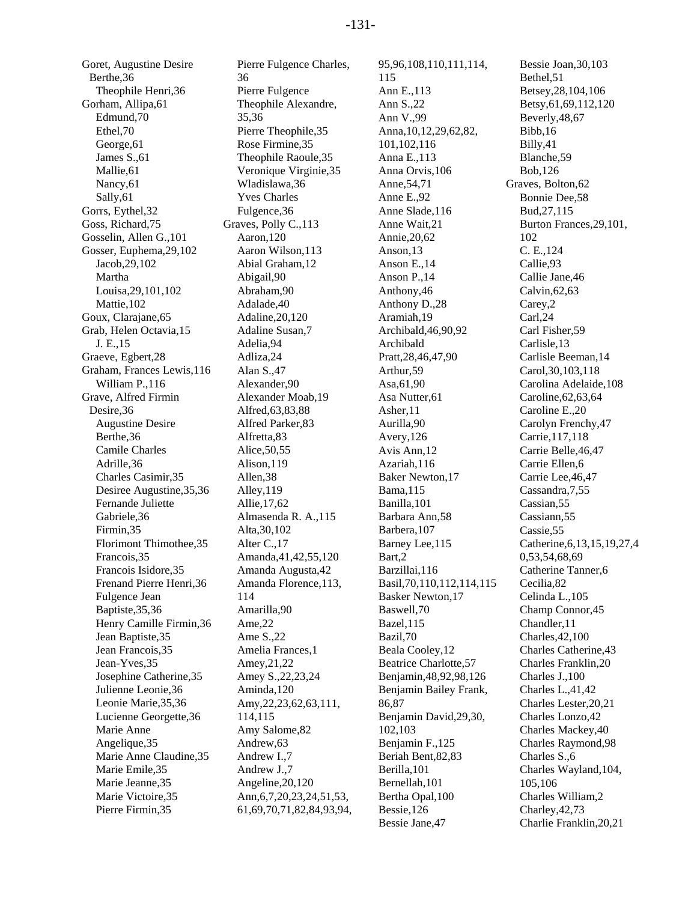Goret, Augustine Desire Berthe,36 Theophile Henri,36 Gorham, Allipa,61 Edmund,70 Ethel,70 George,61 James S.,61 Mallie,61 Nancy,61 Sally,61 Gorrs, Eythel,32 Goss, Richard,75 Gosselin, Allen G.,101 Gosser, Euphema,29,102 Jacob,29,102 Martha Louisa,29,101,102 Mattie,102 Goux, Clarajane,65 Grab, Helen Octavia,15 J. E.,15 Graeve, Egbert,28 Graham, Frances Lewis,116 William P.,116 Grave, Alfred Firmin Desire,36 Augustine Desire Berthe,36 Camile Charles Adrille,36 Charles Casimir,35 Desiree Augustine,35,36 Fernande Juliette Gabriele,36 Firmin,35 Florimont Thimothee,35 Francois,35 Francois Isidore,35 Frenand Pierre Henri,36 Fulgence Jean Baptiste,35,36 Henry Camille Firmin,36 Jean Baptiste,35 Jean Francois,35 Jean-Yves,35 Josephine Catherine,35 Julienne Leonie,36 Leonie Marie,35,36 Lucienne Georgette,36 Marie Anne Angelique,35 Marie Anne Claudine,35 Marie Emile,35 Marie Jeanne,35 Marie Victoire,35 Pierre Firmin,35

Pierre Fulgence Charles, 36 Pierre Fulgence Theophile Alexandre, 35,36 Pierre Theophile,35 Rose Firmine,35 Theophile Raoule,35 Veronique Virginie,35 Wladislawa,36 Yves Charles Fulgence,36 Graves, Polly C.,113 Aaron,120 Aaron Wilson,113 Abial Graham,12 Abigail,90 Abraham,90 Adalade,40 Adaline,20,120 Adaline Susan,7 Adelia,94 Adliza,24 Alan S.,47 Alexander,90 Alexander Moab,19 Alfred,63,83,88 Alfred Parker,83 Alfretta,83 Alice,50,55 Alison,119 Allen,38 Alley,119 Allie,17,62 Almasenda R. A.,115 Alta,30,102 Alter C.,17 Amanda,41,42,55,120 Amanda Augusta,42 Amanda Florence,113, 114 Amarilla,90 Ame,22 Ame S.,22 Amelia Frances,1 Amey,21,22 Amey S.,22,23,24 Aminda,120 Amy,22,23,62,63,111, 114,115 Amy Salome,82 Andrew,63 Andrew I.,7 Andrew J.,7 Angeline,20,120 Ann,6,7,20,23,24,51,53, 61,69,70,71,82,84,93,94, 95,96,108,110,111,114, 115 Ann E.,113 Ann S.,22 Ann V.,99 Anna,10,12,29,62,82, 101,102,116 Anna E.,113 Anna Orvis,106 Anne,54,71 Anne E.,92 Anne Slade,116 Anne Wait,21 Annie,20,62 Anson,13 Anson E.,14 Anson P.,14 Anthony,46 Anthony D.,28 Aramiah,19 Archibald,46,90,92 Archibald Pratt,28,46,47,90 Arthur,59 Asa,61,90 Asa Nutter,61 Asher,11 Aurilla,90 Avery,126 Avis Ann,12 Azariah,116 Baker Newton,17 Bama,115 Banilla,101 Barbara Ann,58 Barbera,107 Barney Lee,115 Bart,2 Barzillai,116 Basil,70,110,112,114,115 Basker Newton,17 Baswell,70 Bazel,115 Bazil,70 Beala Cooley,12 Beatrice Charlotte,57 Benjamin,48,92,98,126 Benjamin Bailey Frank, 86,87 Benjamin David,29,30, 102,103 Benjamin F.,125 Beriah Bent,82,83 Berilla,101 Bernellah,101 Bertha Opal,100 Bessie,126 Bessie Jane,47

Bessie Joan,30,103 Bethel,51 Betsey,28,104,106 Betsy,61,69,112,120 Beverly,48,67 Bibb,16 Billy,41 Blanche,59 Bob,126 Graves, Bolton,62 Bonnie Dee,58 Bud,27,115 Burton Frances,29,101, 102 C. E.,124 Callie,93 Callie Jane,46 Calvin,62,63 Carey,2 Carl,24 Carl Fisher,59 Carlisle,13 Carlisle Beeman,14 Carol,30,103,118 Carolina Adelaide,108 Caroline,62,63,64 Caroline E.,20 Carolyn Frenchy,47 Carrie,117,118 Carrie Belle,46,47 Carrie Ellen,6 Carrie Lee,46,47 Cassandra,7,55 Cassian,55 Cassiann,55 Cassie,55 Catherine,6,13,15,19,27,4 0,53,54,68,69 Catherine Tanner,6 Cecilia,82 Celinda L.,105 Champ Connor,45 Chandler,11 Charles,42,100 Charles Catherine,43 Charles Franklin,20 Charles J.,100 Charles L.,41,42 Charles Lester,20,21 Charles Lonzo,42 Charles Mackey,40 Charles Raymond,98 Charles S.,6 Charles Wayland,104, 105,106 Charles William,2 Charley,42,73 Charlie Franklin,20,21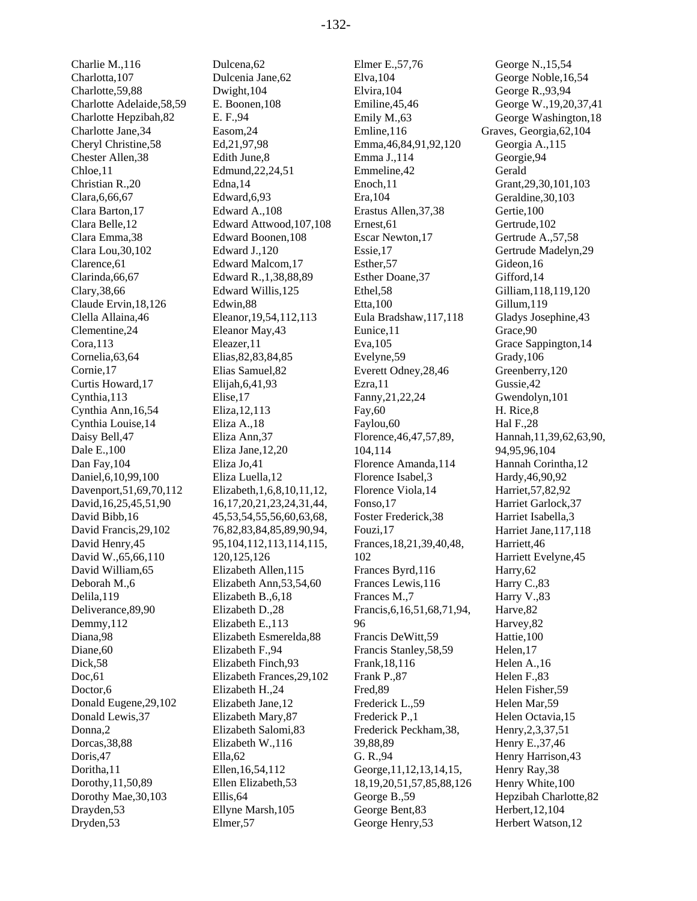Charlie M.,116 Charlotta,107 Charlotte,59,88 Charlotte Adelaide,58,59 Charlotte Hepzibah,82 Charlotte Jane,34 Cheryl Christine,58 Chester Allen,38 Chloe,11 Christian R.,20 Clara,6,66,67 Clara Barton,17 Clara Belle,12 Clara Emma,38 Clara Lou,30,102 Clarence,61 Clarinda,66,67 Clary,38,66 Claude Ervin,18,126 Clella Allaina,46 Clementine,24 Cora,113 Cornelia,63,64 Cornie,17 Curtis Howard,17 Cynthia,113 Cynthia Ann,16,54 Cynthia Louise,14 Daisy Bell,47 Dale E.,100 Dan Fay,104 Daniel,6,10,99,100 Davenport,51,69,70,112 David,16,25,45,51,90 David Bibb,16 David Francis,29,102 David Henry,45 David W.,65,66,110 David William,65 Deborah M.,6 Delila,119 Deliverance,89,90 Demmy,112 Diana,98 Diane,60 Dick,58 Doc,61 Doctor,6 Donald Eugene,29,102 Donald Lewis,37 Donna,2 Dorcas,38,88 Doris,47 Doritha,11 Dorothy,11,50,89 Dorothy Mae,30,103 Drayden,53 Dryden,53

Dulcena,62 Dulcenia Jane,62 Dwight,104 E. Boonen,108 E. F.,94 Easom,24 Ed,21,97,98 Edith June,8 Edmund,22,24,51 Edna,14 Edward,6,93 Edward A.,108 Edward Attwood,107,108 Edward Boonen,108 Edward J.,120 Edward Malcom,17 Edward R.,1,38,88,89 Edward Willis,125 Edwin,88 Eleanor,19,54,112,113 Eleanor May,43 Eleazer,11 Elias,82,83,84,85 Elias Samuel,82 Elijah,6,41,93 Elise,17 Eliza,12,113 Eliza A.,18 Eliza Ann,37 Eliza Jane,12,20 Eliza Jo,41 Eliza Luella,12 Elizabeth,1,6,8,10,11,12, 16,17,20,21,23,24,31,44, 45,53,54,55,56,60,63,68, 76,82,83,84,85,89,90,94, 95,104,112,113,114,115, 120,125,126 Elizabeth Allen,115 Elizabeth Ann,53,54,60 Elizabeth B.,6,18 Elizabeth D.,28 Elizabeth E.,113 Elizabeth Esmerelda,88 Elizabeth F.,94 Elizabeth Finch,93 Elizabeth Frances,29,102 Elizabeth H.,24 Elizabeth Jane,12 Elizabeth Mary,87 Elizabeth Salomi,83 Elizabeth W.,116 Ella,62 Ellen,16,54,112 Ellen Elizabeth,53 Ellis,64 Ellyne Marsh,105 Elmer,57

Elmer E.,57,76 Elva,104 Elvira,104 Emiline,45,46 Emily M.,63 Emline,116 Emma,46,84,91,92,120 Emma J.,114 Emmeline,42 Enoch,11 Era,104 Erastus Allen,37,38 Ernest,61 Escar Newton,17 Essie,17 Esther,57 Esther Doane,37 Ethel,58 Etta,100 Eula Bradshaw,117,118 Eunice,11 Eva,105 Evelyne,59 Everett Odney,28,46 Ezra,11 Fanny,21,22,24 Fay,60 Faylou,60 Florence,46,47,57,89, 104,114 Florence Amanda,114 Florence Isabel,3 Florence Viola,14 Fonso,17 Foster Frederick,38 Fouzi,17 Frances,18,21,39,40,48, 102 Frances Byrd,116 Frances Lewis,116 Frances M.,7 Francis,6,16,51,68,71,94, 96 Francis DeWitt,59 Francis Stanley,58,59 Frank,18,116 Frank P.,87 Fred,89 Frederick L.,59 Frederick P.,1 Frederick Peckham,38, 39,88,89 G. R.,94 George,11,12,13,14,15, 18,19,20,51,57,85,88,126 George B.,59 George Bent,83 George Henry,53

George N.,15,54 George Noble,16,54 George R.,93,94 George W.,19,20,37,41 George Washington,18 Graves, Georgia,62,104 Georgia A.,115 Georgie,94 Gerald Grant,29,30,101,103 Geraldine,30,103 Gertie,100 Gertrude,102 Gertrude A.,57,58 Gertrude Madelyn,29 Gideon,16 Gifford,14 Gilliam,118,119,120 Gillum,119 Gladys Josephine,43 Grace,90 Grace Sappington,14 Grady,106 Greenberry,120 Gussie,42 Gwendolyn,101 H. Rice,8 Hal F.,28 Hannah,11,39,62,63,90, 94,95,96,104 Hannah Corintha,12 Hardy,46,90,92 Harriet,57,82,92 Harriet Garlock,37 Harriet Isabella,3 Harriet Jane,117,118 Harriett,46 Harriett Evelyne,45 Harry,62 Harry C.,83 Harry V.,83 Harve,82 Harvey,82 Hattie,100 Helen,17 Helen A.,16 Helen F.,83 Helen Fisher,59 Helen Mar,59 Helen Octavia,15 Henry,2,3,37,51 Henry E.,37,46 Henry Harrison,43 Henry Ray,38 Henry White,100 Hepzibah Charlotte,82 Herbert,12,104 Herbert Watson,12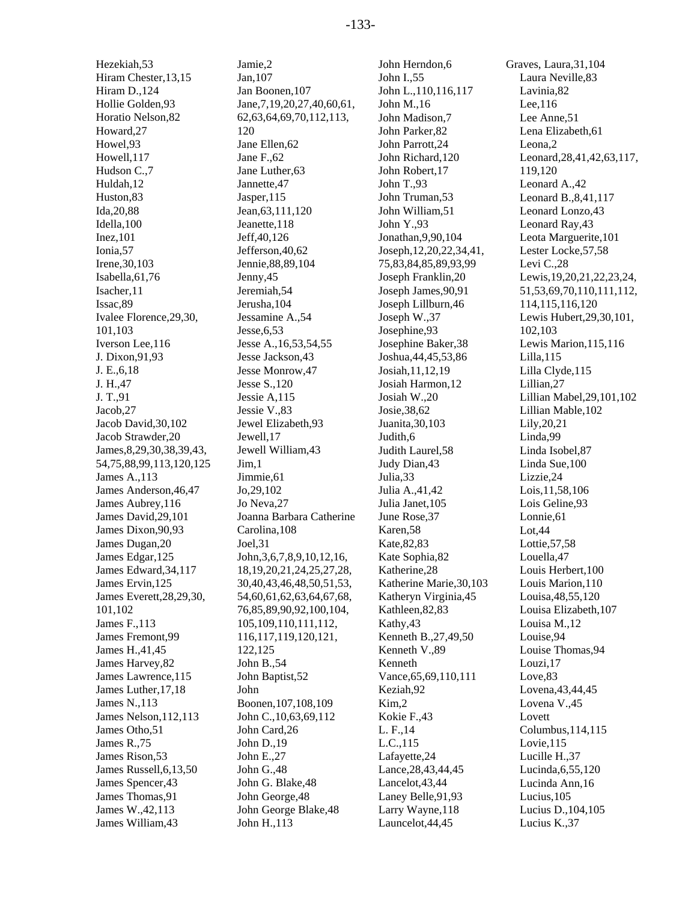Hezekiah,53 Hiram Chester,13,15 Hiram D.,124 Hollie Golden,93 Horatio Nelson,82 Howard,27 Howel,93 Howell,117 Hudson C.,7 Huldah,12 Huston,83 Ida,20,88 Idella,100 Inez,101 Ionia,57 Irene,30,103 Isabella,61,76 Isacher,11 Issac,89 Ivalee Florence,29,30, 101,103 Iverson Lee,116 J. Dixon,91,93 J. E.,6,18 J. H.,47 J. T.,91 Jacob,27 Jacob David,30,102 Jacob Strawder,20 James,8,29,30,38,39,43, 54,75,88,99,113,120,125 James A.,113 James Anderson,46,47 James Aubrey,116 James David,29,101 James Dixon,90,93 James Dugan,20 James Edgar,125 James Edward,34,117 James Ervin,125 James Everett,28,29,30, 101,102 James F.,113 James Fremont,99 James H.,41,45 James Harvey,82 James Lawrence,115 James Luther,17,18 James N.,113 James Nelson,112,113 James Otho,51 James R.,75 James Rison,53 James Russell,6,13,50 James Spencer,43 James Thomas,91 James W.,42,113 James William,43

Jamie,2 Jan,107 Jan Boonen,107 Jane,7,19,20,27,40,60,61, 62,63,64,69,70,112,113, 120 Jane Ellen,62 Jane F.,62 Jane Luther,63 Jannette,47 Jasper,115 Jean,63,111,120 Jeanette,118 Jeff,40,126 Jefferson,40,62 Jennie,88,89,104 Jenny,45 Jeremiah,54 Jerusha,104 Jessamine A.,54 Jesse,6,53 Jesse A.,16,53,54,55 Jesse Jackson,43 Jesse Monrow,47 Jesse S.,120 Jessie A,115 Jessie V.,83 Jewel Elizabeth,93 Jewell,17 Jewell William,43 Jim,1 Jimmie,61 Jo,29,102 Jo Neva,27 Joanna Barbara Catherine Carolina,108 Joel,31 John,3,6,7,8,9,10,12,16, 18,19,20,21,24,25,27,28, 30,40,43,46,48,50,51,53, 54,60,61,62,63,64,67,68, 76,85,89,90,92,100,104, 105,109,110,111,112, 116,117,119,120,121, 122,125 John B.,54 John Baptist,52 John Boonen,107,108,109 John C.,10,63,69,112 John Card,26 John D.,19 John E.,27 John G.,48 John G. Blake,48 John George,48 John George Blake,48 John H.,113

John Herndon,6 John I.,55 John L.,110,116,117 John M.,16 John Madison,7 John Parker,82 John Parrott,24 John Richard,120 John Robert,17 John T.,93 John Truman,53 John William,51 John Y.,93 Jonathan,9,90,104 Joseph,12,20,22,34,41, 75,83,84,85,89,93,99 Joseph Franklin,20 Joseph James,90,91 Joseph Lillburn,46 Joseph W.,37 Josephine,93 Josephine Baker,38 Joshua,44,45,53,86 Josiah,11,12,19 Josiah Harmon,12 Josiah W.,20 Josie,38,62 Juanita,30,103 Judith,6 Judith Laurel,58 Judy Dian,43 Julia,33 Julia A.,41,42 Julia Janet,105 June Rose,37 Karen,58 Kate,82,83 Kate Sophia,82 Katherine,28 Katherine Marie,30,103 Katheryn Virginia,45 Kathleen,82,83 Kathy,43 Kenneth B.,27,49,50 Kenneth V.,89 Kenneth Vance,65,69,110,111 Keziah,92 Kim,2 Kokie F.,43 L. F.,14 L.C.,115 Lafayette,24 Lance,28,43,44,45 Lancelot,43,44 Laney Belle,91,93 Larry Wayne,118 Launcelot,44,45

Graves, Laura,31,104 Laura Neville,83 Lavinia,82 Lee,116 Lee Anne,51 Lena Elizabeth,61 Leona,2 Leonard,28,41,42,63,117, 119,120 Leonard A.,42 Leonard B.,8,41,117 Leonard Lonzo,43 Leonard Ray,43 Leota Marguerite,101 Lester Locke,57,58 Levi C.,28 Lewis,19,20,21,22,23,24, 51,53,69,70,110,111,112, 114,115,116,120 Lewis Hubert,29,30,101, 102,103 Lewis Marion,115,116 Lilla,115 Lilla Clyde,115 Lillian,27 Lillian Mabel,29,101,102 Lillian Mable,102 Lily,20,21 Linda,99 Linda Isobel,87 Linda Sue,100 Lizzie,24 Lois,11,58,106 Lois Geline,93 Lonnie,61 Lot,44 Lottie,57,58 Louella,47 Louis Herbert,100 Louis Marion,110 Louisa,48,55,120 Louisa Elizabeth,107 Louisa M.,12 Louise,94 Louise Thomas,94 Louzi,17 Love,83 Lovena,43,44,45 Lovena V.,45 Lovett Columbus,114,115 Lovie,115 Lucille H.,37 Lucinda,6,55,120 Lucinda Ann,16 Lucius,105 Lucius D.,104,105 Lucius K.,37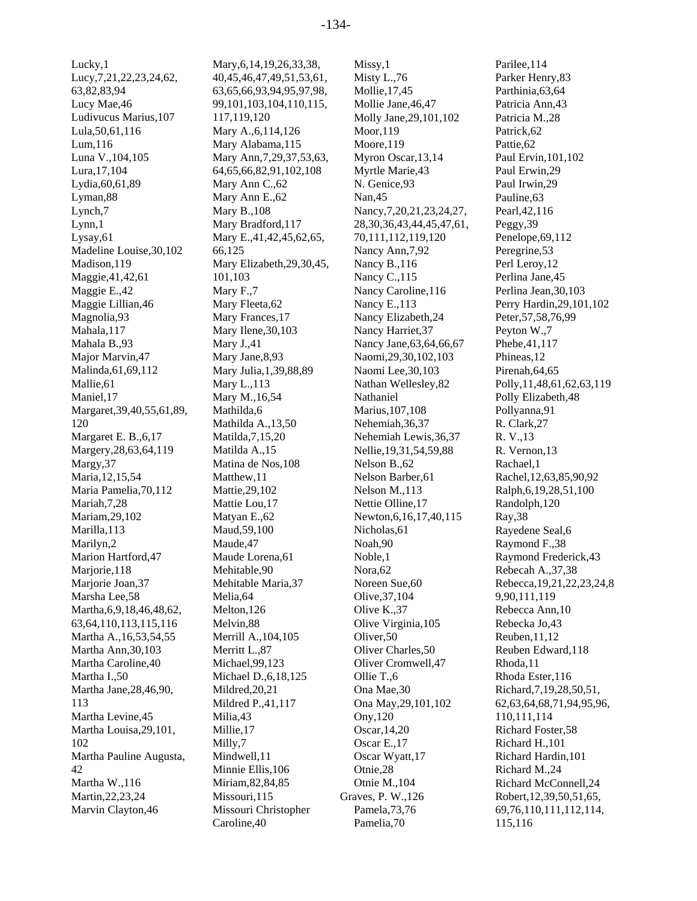Lucky,1 Lucy,7,21,22,23,24,62, 63,82,83,94 Lucy Mae,46 Ludivucus Marius,107 Lula,50,61,116 Lum,116 Luna V.,104,105 Lura,17,104 Lydia,60,61,89 Lyman,88 Lynch,7 Lynn,1 Lysay,61 Madeline Louise,30,102 Madison,119 Maggie,41,42,61 Maggie E.,42 Maggie Lillian,46 Magnolia,93 Mahala,117 Mahala B.,93 Major Marvin,47 Malinda,61,69,112 Mallie,61 Maniel,17 Margaret,39,40,55,61,89, 120 Margaret E. B.,6,17 Margery,28,63,64,119 Margy,37 Maria,12,15,54 Maria Pamelia,70,112 Mariah,7,28 Mariam,29,102 Marilla,113 Marilyn,2 Marion Hartford,47 Marjorie,118 Marjorie Joan,37 Marsha Lee,58 Martha,6,9,18,46,48,62, 63,64,110,113,115,116 Martha A.,16,53,54,55 Martha Ann,30,103 Martha Caroline,40 Martha I.,50 Martha Jane,28,46,90, 113 Martha Levine,45 Martha Louisa,29,101, 102 Martha Pauline Augusta, 42 Martha W.,116 Martin,22,23,24 Marvin Clayton,46

Mary,6,14,19,26,33,38, 40,45,46,47,49,51,53,61, 63,65,66,93,94,95,97,98, 99,101,103,104,110,115, 117,119,120 Mary A.,6,114,126 Mary Alabama,115 Mary Ann,7,29,37,53,63, 64,65,66,82,91,102,108 Mary Ann C.,62 Mary Ann E.,62 Mary B.,108 Mary Bradford,117 Mary E.,41,42,45,62,65, 66,125 Mary Elizabeth,29,30,45, 101,103 Mary F.,7 Mary Fleeta,62 Mary Frances,17 Mary Ilene,30,103 Mary J.,41 Mary Jane,8,93 Mary Julia,1,39,88,89 Mary L.,113 Mary M.,16,54 Mathilda,6 Mathilda A.,13,50 Matilda,7,15,20 Matilda A.,15 Matina de Nos,108 Matthew,11 Mattie,29,102 Mattie Lou,17 Matyan E.,62 Maud,59,100 Maude,47 Maude Lorena,61 Mehitable,90 Mehitable Maria,37 Melia,64 Melton,126 Melvin,88 Merrill A.,104,105 Merritt L.,87 Michael,99,123 Michael D.,6,18,125 Mildred,20,21 Mildred P.,41,117 Milia,43 Millie,17 Milly,7 Mindwell,11 Minnie Ellis,106 Miriam,82,84,85 Missouri,115 Missouri Christopher Caroline,40

Missy,1 Misty L.,76 Mollie,17,45 Mollie Jane,46,47 Molly Jane,29,101,102 Moor,119 Moore,119 Myron Oscar,13,14 Myrtle Marie,43 N. Genice,93 Nan,45 Nancy,7,20,21,23,24,27, 28,30,36,43,44,45,47,61, 70,111,112,119,120 Nancy Ann,7,92 Nancy B.,116 Nancy C.,115 Nancy Caroline,116 Nancy E.,113 Nancy Elizabeth,24 Nancy Harriet,37 Nancy Jane,63,64,66,67 Naomi,29,30,102,103 Naomi Lee,30,103 Nathan Wellesley,82 Nathaniel Marius,107,108 Nehemiah,36,37 Nehemiah Lewis,36,37 Nellie,19,31,54,59,88 Nelson B.,62 Nelson Barber,61 Nelson M.,113 Nettie Olline,17 Newton,6,16,17,40,115 Nicholas,61 Noah,90 Noble,1 Nora,62 Noreen Sue,60 Olive,37,104 Olive K.,37 Olive Virginia,105 Oliver,50 Oliver Charles,50 Oliver Cromwell,47 Ollie T.,6 Ona Mae,30 Ona May,29,101,102 Ony,120 Oscar,14,20 Oscar E.,17 Oscar Wyatt,17 Otnie,28 Otnie M.,104 Graves, P. W.,126 Pamela,73,76 Pamelia,70

Parilee,114 Parker Henry,83 Parthinia,63,64 Patricia Ann,43 Patricia M.,28 Patrick,62 Pattie,62 Paul Ervin,101,102 Paul Erwin,29 Paul Irwin,29 Pauline,63 Pearl,42,116 Peggy,39 Penelope,69,112 Peregrine,53 Perl Leroy,12 Perlina Jane,45 Perlina Jean,30,103 Perry Hardin,29,101,102 Peter,57,58,76,99 Peyton W.,7 Phebe,41,117 Phineas,12 Pirenah,64,65 Polly,11,48,61,62,63,119 Polly Elizabeth,48 Pollyanna,91 R. Clark,27 R. V.,13 R. Vernon,13 Rachael,1 Rachel,12,63,85,90,92 Ralph,6,19,28,51,100 Randolph,120 Ray,38 Rayedene Seal,6 Raymond F.,38 Raymond Frederick,43 Rebecah A.,37,38 Rebecca,19,21,22,23,24,8 9,90,111,119 Rebecca Ann,10 Rebecka Jo,43 Reuben,11,12 Reuben Edward,118 Rhoda,11 Rhoda Ester,116 Richard,7,19,28,50,51, 62,63,64,68,71,94,95,96, 110,111,114 Richard Foster,58 Richard H.,101 Richard Hardin,101 Richard M.,24 Richard McConnell,24 Robert,12,39,50,51,65, 69,76,110,111,112,114, 115,116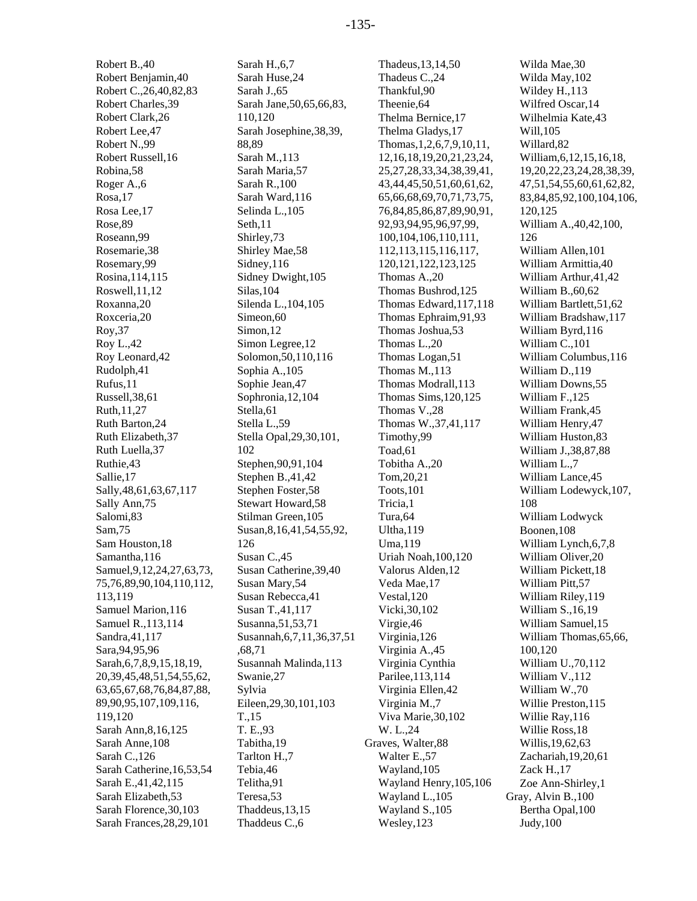Robert B.,40 Robert Benjamin,40 Robert C.,26,40,82,83 Robert Charles,39 Robert Clark,26 Robert Lee,47 Robert N.,99 Robert Russell,16 Robina,58 Roger A.,6 Rosa,17 Rosa Lee,17 Rose,89 Roseann,99 Rosemarie,38 Rosemary,99 Rosina,114,115 Roswell,11,12 Roxanna,20 Roxceria,20 Roy,37 Roy L.,42 Roy Leonard,42 Rudolph,41 Rufus,11 Russell,38,61 Ruth,11,27 Ruth Barton,24 Ruth Elizabeth,37 Ruth Luella,37 Ruthie,43 Sallie,17 Sally,48,61,63,67,117 Sally Ann,75 Salomi,83 Sam,75 Sam Houston,18 Samantha,116 Samuel,9,12,24,27,63,73, 75,76,89,90,104,110,112, 113,119 Samuel Marion,116 Samuel R.,113,114 Sandra,41,117 Sara,94,95,96 Sarah,6,7,8,9,15,18,19, 20,39,45,48,51,54,55,62, 63,65,67,68,76,84,87,88, 89,90,95,107,109,116, 119,120 Sarah Ann,8,16,125 Sarah Anne,108 Sarah C.,126 Sarah Catherine,16,53,54 Sarah E.,41,42,115 Sarah Elizabeth,53 Sarah Florence,30,103 Sarah Frances,28,29,101

Sarah H.,6,7 Sarah Huse,24 Sarah J.,65 Sarah Jane,50,65,66,83, 110,120 Sarah Josephine,38,39, 88,89 Sarah M.,113 Sarah Maria,57 Sarah R.,100 Sarah Ward,116 Selinda L.,105 Seth,11 Shirley,73 Shirley Mae,58 Sidney,116 Sidney Dwight,105 Silas,104 Silenda L.,104,105 Simeon,60 Simon,12 Simon Legree,12 Solomon,50,110,116 Sophia A.,105 Sophie Jean,47 Sophronia,12,104 Stella,61 Stella L.,59 Stella Opal,29,30,101, 102 Stephen,90,91,104 Stephen B.,41,42 Stephen Foster,58 Stewart Howard,58 Stilman Green,105 Susan,8,16,41,54,55,92, 126 Susan C.,45 Susan Catherine,39,40 Susan Mary,54 Susan Rebecca,41 Susan T.,41,117 Susanna,51,53,71 Susannah,6,7,11,36,37,51 ,68,71 Susannah Malinda,113 Swanie,27 Sylvia Eileen,29,30,101,103 T.,15 T. E.,93 Tabitha,19 Tarlton H.,7 Tebia,46 Telitha,91 Teresa,53 Thaddeus,13,15 Thaddeus C.,6

Thadeus,13,14,50 Thadeus C.,24 Thankful,90 Theenie,64 Thelma Bernice,17 Thelma Gladys,17 Thomas,1,2,6,7,9,10,11, 12,16,18,19,20,21,23,24, 25,27,28,33,34,38,39,41, 43,44,45,50,51,60,61,62, 65,66,68,69,70,71,73,75, 76,84,85,86,87,89,90,91, 92,93,94,95,96,97,99, 100,104,106,110,111, 112,113,115,116,117, 120,121,122,123,125 Thomas A.,20 Thomas Bushrod,125 Thomas Edward,117,118 Thomas Ephraim,91,93 Thomas Joshua,53 Thomas L.,20 Thomas Logan,51 Thomas M.,113 Thomas Modrall,113 Thomas Sims,120,125 Thomas V.,28 Thomas W.,37,41,117 Timothy,99 Toad,61 Tobitha A.,20 Tom,20,21 Toots,101 Tricia,1 Tura,64 Ultha,119 Uma,119 Uriah Noah,100,120 Valorus Alden,12 Veda Mae,17 Vestal,120 Vicki,30,102 Virgie,46 Virginia,126 Virginia A.,45 Virginia Cynthia Parilee,113,114 Virginia Ellen,42 Virginia M.,7 Viva Marie,30,102 W. L.,24 Graves, Walter,88 Walter E.,57 Wayland,105 Wayland Henry,105,106 Wayland L.,105 Wayland S.,105 Wesley,123

Wilda Mae,30 Wilda May,102 Wildey H.,113 Wilfred Oscar,14 Wilhelmia Kate,43 Will,105 Willard,82 William,6,12,15,16,18, 19,20,22,23,24,28,38,39, 47,51,54,55,60,61,62,82, 83,84,85,92,100,104,106, 120,125 William A.,40,42,100, 126 William Allen,101 William Armittia,40 William Arthur,41,42 William B.,60,62 William Bartlett,51,62 William Bradshaw,117 William Byrd,116 William C.,101 William Columbus,116 William D.,119 William Downs,55 William F.,125 William Frank,45 William Henry,47 William Huston,83 William J.,38,87,88 William L.,7 William Lance,45 William Lodewyck,107, 108 William Lodwyck Boonen,108 William Lynch,6,7,8 William Oliver,20 William Pickett,18 William Pitt,57 William Riley,119 William S.,16,19 William Samuel,15 William Thomas,65,66, 100,120 William U.,70,112 William V.,112 William W.,70 Willie Preston,115 Willie Ray,116 Willie Ross,18 Willis,19,62,63 Zachariah,19,20,61 Zack H.,17 Zoe Ann-Shirley,1 Gray, Alvin B.,100 Bertha Opal,100 Judy,100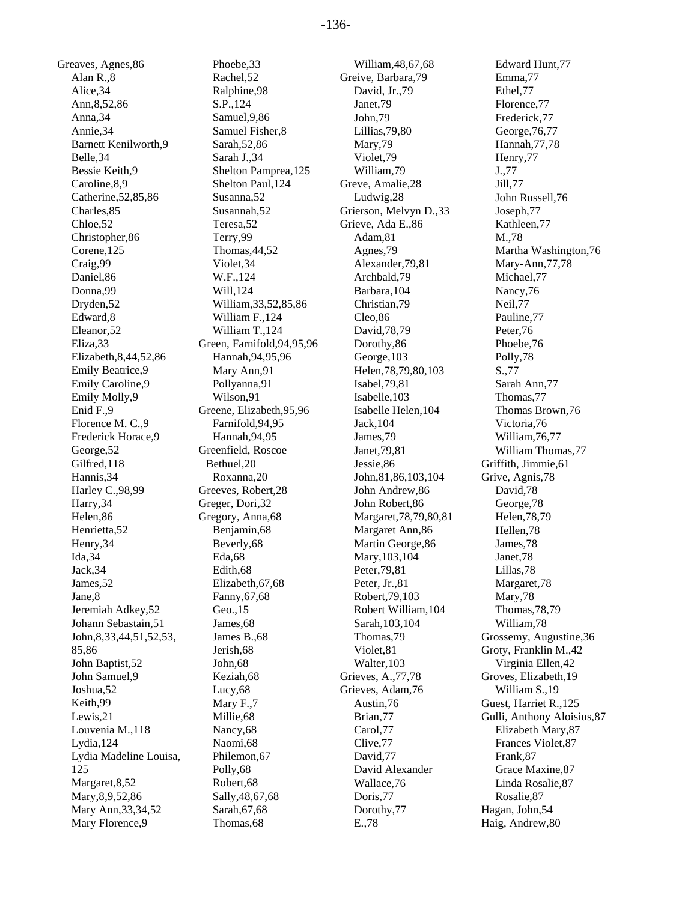Greaves, Agnes,86 Alan R.,8 Alice,34 Ann,8,52,86 Anna,34 Annie,34 Barnett Kenilworth,9 Belle,34 Bessie Keith,9 Caroline,8,9 Catherine,52,85,86 Charles,85 Chloe,52 Christopher,86 Corene,125 Craig,99 Daniel,86 Donna,99 Dryden,52 Edward,8 Eleanor,52 Eliza,33 Elizabeth,8,44,52,86 Emily Beatrice,9 Emily Caroline,9 Emily Molly,9 Enid F.,9 Florence M. C.,9 Frederick Horace,9 George,52 Gilfred,118 Hannis,34 Harley C.,98,99 Harry,34 Helen,86 Henrietta,52 Henry,34 Ida,34 Jack,34 James,52 Jane,8 Jeremiah Adkey,52 Johann Sebastain,51 John,8,33,44,51,52,53, 85,86 John Baptist,52 John Samuel,9 Joshua,52 Keith,99 Lewis,21 Louvenia M.,118 Lydia,124 Lydia Madeline Louisa, 125 Margaret,8,52 Mary,8,9,52,86 Mary Ann,33,34,52 Mary Florence,9

Phoebe,33 Rachel,52 Ralphine,98 S.P.,124 Samuel,9,86 Samuel Fisher,8 Sarah,52,86 Sarah J.,34 Shelton Pamprea,125 Shelton Paul,124 Susanna,52 Susannah,52 Teresa,52 Terry,99 Thomas,44,52 Violet,34 W.F.,124 Will,124 William,33,52,85,86 William F.,124 William T.,124 Green, Farnifold,94,95,96 Hannah,94,95,96 Mary Ann,91 Pollyanna,91 Wilson,91 Greene, Elizabeth,95,96 Farnifold,94,95 Hannah,94,95 Greenfield, Roscoe Bethuel,20 Roxanna,20 Greeves, Robert,28 Greger, Dori,32 Gregory, Anna,68 Benjamin,68 Beverly,68 Eda,68 Edith,68 Elizabeth,67,68 Fanny,67,68 Geo.,15 James,68 James B.,68 Jerish,68 John,68 Keziah,68 Lucy,68 Mary F.,7 Millie,68 Nancy,68 Naomi,68 Philemon,67 Polly,68 Robert,68 Sally,48,67,68 Sarah,67,68 Thomas,68

William,48,67,68 Greive, Barbara,79 David, Jr.,79 Janet,79 John,79 Lillias,79,80 Mary,79 Violet,79 William,79 Greve, Amalie,28 Ludwig,28 Grierson, Melvyn D.,33 Grieve, Ada E.,86 Adam,81 Agnes,79 Alexander,79,81 Archbald,79 Barbara,104 Christian,79 Cleo,86 David,78,79 Dorothy,86 George,103 Helen,78,79,80,103 Isabel,79,81 Isabelle,103 Isabelle Helen,104 Jack,104 James,79 Janet,79,81 Jessie,86 John,81,86,103,104 John Andrew,86 John Robert,86 Margaret,78,79,80,81 Margaret Ann,86 Martin George,86 Mary,103,104 Peter,79,81 Peter, Jr.,81 Robert,79,103 Robert William,104 Sarah,103,104 Thomas,79 Violet,81 Walter,103 Grieves, A.,77,78 Grieves, Adam,76 Austin,76 Brian,77 Carol,77 Clive,77 David,77 David Alexander Wallace,76 Doris,77 Dorothy,77 E.,78

Edward Hunt,77 Emma,77 Ethel,77 Florence,77 Frederick,77 George,76,77 Hannah,77,78 Henry,77 J.,77 Jill,77 John Russell,76 Joseph,77 Kathleen,77 M.,78 Martha Washington,76 Mary-Ann,77,78 Michael,77 Nancy,76 Neil,77 Pauline,77 Peter,76 Phoebe,76 Polly,78 S.,77 Sarah Ann,77 Thomas,77 Thomas Brown,76 Victoria,76 William,76,77 William Thomas,77 Griffith, Jimmie,61 Grive, Agnis,78 David,78 George,78 Helen,78,79 Hellen,78 James,78 Janet,78 Lillas,78 Margaret,78 Mary,78 Thomas,78,79 William,78 Grossemy, Augustine,36 Groty, Franklin M.,42 Virginia Ellen,42 Groves, Elizabeth,19 William S.,19 Guest, Harriet R.,125 Gulli, Anthony Aloisius,87 Elizabeth Mary,87 Frances Violet,87 Frank,87 Grace Maxine,87 Linda Rosalie,87 Rosalie,87 Hagan, John,54 Haig, Andrew,80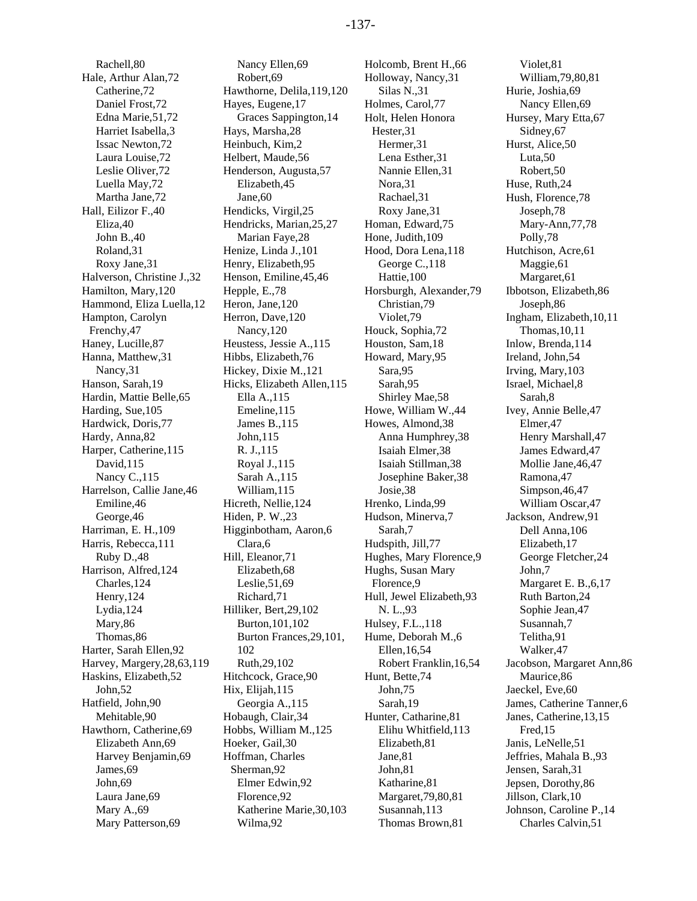Rachell,80 Hale, Arthur Alan,72 Catherine,72 Daniel Frost,72 Edna Marie,51,72 Harriet Isabella,3 Issac Newton,72 Laura Louise,72 Leslie Oliver,72 Luella May,72 Martha Jane,72 Hall, Eilizor F.,40 Eliza,40 John B.,40 Roland,31 Roxy Jane,31 Halverson, Christine J.,32 Hamilton, Mary,120 Hammond, Eliza Luella,12 Hampton, Carolyn Frenchy,47 Haney, Lucille,87 Hanna, Matthew,31 Nancy,31 Hanson, Sarah,19 Hardin, Mattie Belle,65 Harding, Sue,105 Hardwick, Doris,77 Hardy, Anna,82 Harper, Catherine,115 David,115 Nancy C.,115 Harrelson, Callie Jane,46 Emiline,46 George,46 Harriman, E. H.,109 Harris, Rebecca,111 Ruby D.,48 Harrison, Alfred,124 Charles,124 Henry,124 Lydia,124 Mary,86 Thomas,86 Harter, Sarah Ellen,92 Harvey, Margery,28,63,119 Haskins, Elizabeth,52 John,52 Hatfield, John,90 Mehitable,90 Hawthorn, Catherine,69 Elizabeth Ann,69 Harvey Benjamin,69 James,69 John,69 Laura Jane,69 Mary A.,69 Mary Patterson,69

Nancy Ellen,69 Robert,69 Hawthorne, Delila,119,120 Hayes, Eugene,17 Graces Sappington,14 Hays, Marsha,28 Heinbuch, Kim,2 Helbert, Maude,56 Henderson, Augusta,57 Elizabeth,45 Jane,60 Hendicks, Virgil,25 Hendricks, Marian,25,27 Marian Faye,28 Henize, Linda J.,101 Henry, Elizabeth,95 Henson, Emiline,45,46 Hepple, E.,78 Heron, Jane,120 Herron, Dave,120 Nancy,120 Heustess, Jessie A.,115 Hibbs, Elizabeth,76 Hickey, Dixie M.,121 Hicks, Elizabeth Allen,115 Ella A.,115 Emeline,115 James B.,115 John,115 R. J.,115 Royal J.,115 Sarah A.,115 William,115 Hicreth, Nellie,124 Hiden, P. W.,23 Higginbotham, Aaron,6 Clara,6 Hill, Eleanor,71 Elizabeth,68 Leslie,51,69 Richard,71 Hilliker, Bert,29,102 Burton,101,102 Burton Frances,29,101, 102 Ruth,29,102 Hitchcock, Grace,90 Hix, Elijah,115 Georgia A.,115 Hobaugh, Clair,34 Hobbs, William M.,125 Hoeker, Gail,30 Hoffman, Charles Sherman,92 Elmer Edwin,92 Florence,92 Katherine Marie,30,103 Wilma,92

Holcomb, Brent H.,66 Holloway, Nancy,31 Silas N.,31 Holmes, Carol,77 Holt, Helen Honora Hester,31 Hermer,31 Lena Esther,31 Nannie Ellen,31 Nora,31 Rachael,31 Roxy Jane,31 Homan, Edward,75 Hone, Judith,109 Hood, Dora Lena,118 George C.,118 Hattie,100 Horsburgh, Alexander,79 Christian,79 Violet,79 Houck, Sophia,72 Houston, Sam,18 Howard, Mary,95 Sara,95 Sarah,95 Shirley Mae,58 Howe, William W.,44 Howes, Almond,38 Anna Humphrey,38 Isaiah Elmer,38 Isaiah Stillman,38 Josephine Baker,38 Josie,38 Hrenko, Linda,99 Hudson, Minerva,7 Sarah,7 Hudspith, Jill,77 Hughes, Mary Florence,9 Hughs, Susan Mary Florence,9 Hull, Jewel Elizabeth,93 N. L.,93 Hulsey, F.L.,118 Hume, Deborah M.,6 Ellen,16,54 Robert Franklin,16,54 Hunt, Bette,74 John,75 Sarah,19 Hunter, Catharine,81 Elihu Whitfield,113 Elizabeth,81 Jane,81 John,81 Katharine,81 Margaret,79,80,81 Susannah,113 Thomas Brown,81

Violet,81 William,79,80,81 Hurie, Joshia,69 Nancy Ellen,69 Hursey, Mary Etta,67 Sidney,67 Hurst, Alice,50 Luta,50 Robert,50 Huse, Ruth,24 Hush, Florence,78 Joseph,78 Mary-Ann,77,78 Polly,78 Hutchison, Acre,61 Maggie,61 Margaret,61 Ibbotson, Elizabeth,86 Joseph,86 Ingham, Elizabeth,10,11 Thomas,10,11 Inlow, Brenda,114 Ireland, John,54 Irving, Mary,103 Israel, Michael,8 Sarah,8 Ivey, Annie Belle,47 Elmer,47 Henry Marshall,47 James Edward,47 Mollie Jane,46,47 Ramona,47 Simpson,46,47 William Oscar,47 Jackson, Andrew,91 Dell Anna,106 Elizabeth,17 George Fletcher,24 John,7 Margaret E. B.,6,17 Ruth Barton,24 Sophie Jean,47 Susannah,7 Telitha,91 Walker,47 Jacobson, Margaret Ann,86 Maurice,86 Jaeckel, Eve,60 James, Catherine Tanner,6 Janes, Catherine,13,15 Fred,15 Janis, LeNelle,51 Jeffries, Mahala B.,93 Jensen, Sarah,31 Jepsen, Dorothy,86 Jillson, Clark,10 Johnson, Caroline P.,14 Charles Calvin,51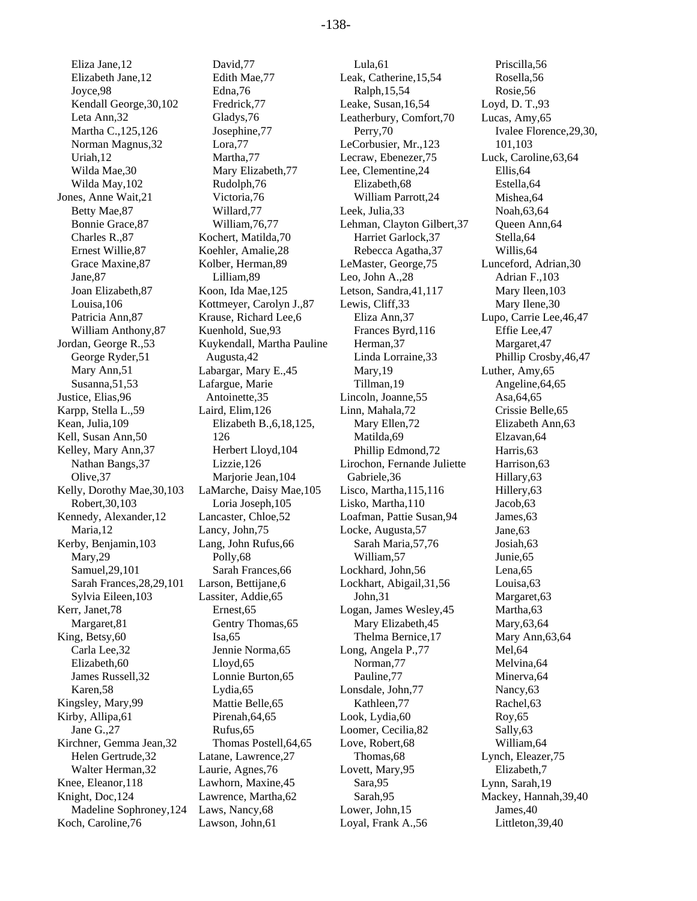Eliza Jane,12 Elizabeth Jane,12 Joyce,98 Kendall George,30,102 Leta Ann,32 Martha C.,125,126 Norman Magnus,32 Uriah,12 Wilda Mae,30 Wilda May,102 Jones, Anne Wait,21 Betty Mae,87 Bonnie Grace,87 Charles R.,87 Ernest Willie,87 Grace Maxine,87 Jane,87 Joan Elizabeth,87 Louisa,106 Patricia Ann,87 William Anthony,87 Jordan, George R.,53 George Ryder,51 Mary Ann,51 Susanna,51,53 Justice, Elias,96 Karpp, Stella L.,59 Kean, Julia,109 Kell, Susan Ann,50 Kelley, Mary Ann,37 Nathan Bangs,37 Olive,37 Kelly, Dorothy Mae,30,103 Robert,30,103 Kennedy, Alexander,12 Maria,12 Kerby, Benjamin,103 Mary,29 Samuel,29,101 Sarah Frances,28,29,101 Sylvia Eileen,103 Kerr, Janet,78 Margaret,81 King, Betsy,60 Carla Lee,32 Elizabeth,60 James Russell,32 Karen,58 Kingsley, Mary,99 Kirby, Allipa,61 Jane G.,27 Kirchner, Gemma Jean,32 Helen Gertrude,32 Walter Herman,32 Knee, Eleanor,118 Knight, Doc,124 Madeline Sophroney,124 Koch, Caroline,76

David,77 Edith Mae,77 Edna,76 Fredrick,77 Gladys,76 Josephine,77 Lora,77 Martha,77 Mary Elizabeth,77 Rudolph,76 Victoria,76 Willard,77 William,76,77 Kochert, Matilda,70 Koehler, Amalie,28 Kolber, Herman,89 Lilliam,89 Koon, Ida Mae,125 Kottmeyer, Carolyn J.,87 Krause, Richard Lee,6 Kuenhold, Sue,93 Kuykendall, Martha Pauline Augusta,42 Labargar, Mary E.,45 Lafargue, Marie Antoinette,35 Laird, Elim,126 Elizabeth B.,6,18,125, 126 Herbert Lloyd,104 Lizzie,126 Marjorie Jean,104 LaMarche, Daisy Mae,105 Loria Joseph,105 Lancaster, Chloe,52 Lancy, John,75 Lang, John Rufus,66 Polly,68 Sarah Frances,66 Larson, Bettijane,6 Lassiter, Addie,65 Ernest,65 Gentry Thomas,65 Isa,65 Jennie Norma,65 Lloyd,65 Lonnie Burton,65 Lydia,65 Mattie Belle,65 Pirenah,64,65 Rufus,65 Thomas Postell,64,65 Latane, Lawrence,27 Laurie, Agnes,76 Lawhorn, Maxine,45 Lawrence, Martha,62 Laws, Nancy,68 Lawson, John,61

Lula,61 Leak, Catherine,15,54 Ralph,15,54 Leake, Susan,16,54 Leatherbury, Comfort,70 Perry,70 LeCorbusier, Mr.,123 Lecraw, Ebenezer,75 Lee, Clementine,24 Elizabeth,68 William Parrott,24 Leek, Julia,33 Lehman, Clayton Gilbert,37 Harriet Garlock,37 Rebecca Agatha,37 LeMaster, George,75 Leo, John A.,28 Letson, Sandra,41,117 Lewis, Cliff,33 Eliza Ann,37 Frances Byrd,116 Herman,37 Linda Lorraine,33 Mary,19 Tillman,19 Lincoln, Joanne,55 Linn, Mahala,72 Mary Ellen,72 Matilda,69 Phillip Edmond,72 Lirochon, Fernande Juliette Gabriele,36 Lisco, Martha,115,116 Lisko, Martha,110 Loafman, Pattie Susan,94 Locke, Augusta,57 Sarah Maria,57,76 William,57 Lockhard, John,56 Lockhart, Abigail,31,56 John,31 Logan, James Wesley,45 Mary Elizabeth,45 Thelma Bernice,17 Long, Angela P.,77 Norman,77 Pauline,77 Lonsdale, John,77 Kathleen,77 Look, Lydia,60 Loomer, Cecilia,82 Love, Robert,68 Thomas,68 Lovett, Mary,95 Sara,95 Sarah,95 Lower, John,15 Loyal, Frank A.,56

Priscilla,56 Rosella,56 Rosie,56 Loyd, D. T.,93 Lucas, Amy,65 Ivalee Florence,29,30, 101,103 Luck, Caroline,63,64 Ellis,64 Estella,64 Mishea,64 Noah,63,64 Queen Ann,64 Stella,64 Willis,64 Lunceford, Adrian,30 Adrian F.,103 Mary Ileen,103 Mary Ilene,30 Lupo, Carrie Lee,46,47 Effie Lee,47 Margaret,47 Phillip Crosby,46,47 Luther, Amy,65 Angeline,64,65 Asa,64,65 Crissie Belle,65 Elizabeth Ann,63 Elzavan,64 Harris,63 Harrison,63 Hillary,63 Hillery,63 Jacob,63 James,63 Jane,63 Josiah,63 Junie,65 Lena,65 Louisa,63 Margaret,63 Martha,63 Mary,63,64 Mary Ann,63,64 Mel,64 Melvina,64 Minerva,64 Nancy,63 Rachel,63 Roy,65 Sally,63 William,64 Lynch, Eleazer,75 Elizabeth,7 Lynn, Sarah,19 Mackey, Hannah,39,40 James,40 Littleton,39,40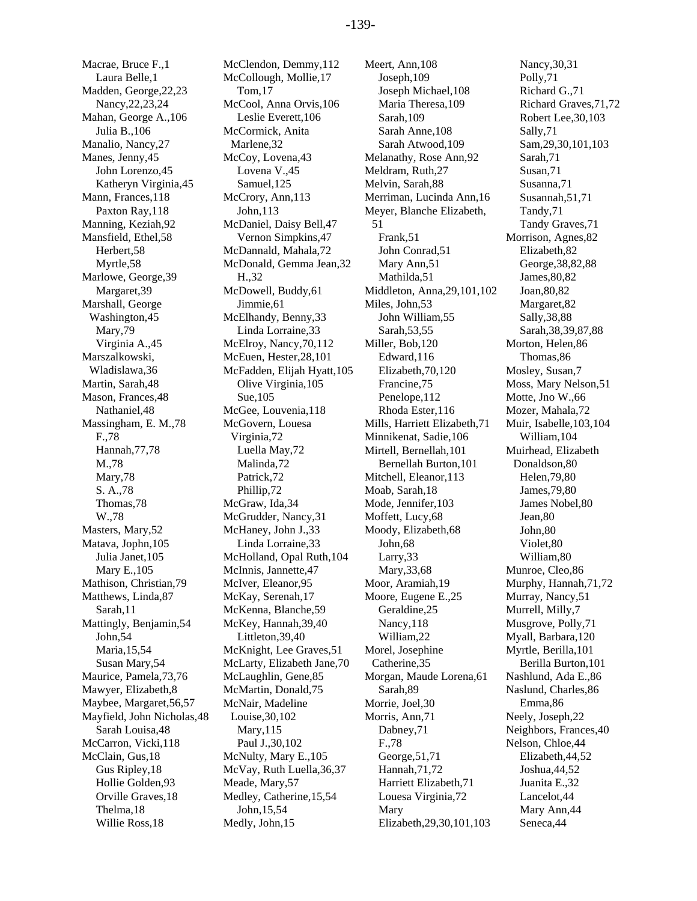Macrae, Bruce F.,1 Laura Belle,1 Madden, George,22,23 Nancy,22,23,24 Mahan, George A.,106 Julia B.,106 Manalio, Nancy,27 Manes, Jenny,45 John Lorenzo,45 Katheryn Virginia,45 Mann, Frances,118 Paxton Ray,118 Manning, Keziah,92 Mansfield, Ethel,58 Herbert,58 Myrtle,58 Marlowe, George,39 Margaret,39 Marshall, George Washington,45 Mary,79 Virginia A.,45 Marszalkowski, Wladislawa,36 Martin, Sarah,48 Mason, Frances,48 Nathaniel,48 Massingham, E. M.,78 F.,78 Hannah,77,78 M.,78 Mary,78 S. A.,78 Thomas,78 W.,78 Masters, Mary,52 Matava, Jophn,105 Julia Janet,105 Mary E.,105 Mathison, Christian,79 Matthews, Linda,87 Sarah,11 Mattingly, Benjamin,54 John,54 Maria,15,54 Susan Mary,54 Maurice, Pamela,73,76 Mawyer, Elizabeth,8 Maybee, Margaret,56,57 Mayfield, John Nicholas,48 Sarah Louisa,48 McCarron, Vicki,118 McClain, Gus,18 Gus Ripley,18 Hollie Golden,93 Orville Graves,18 Thelma,18 Willie Ross,18

McClendon, Demmy,112 McCollough, Mollie,17 Tom,17 McCool, Anna Orvis,106 Leslie Everett,106 McCormick, Anita Marlene,32 McCoy, Lovena,43 Lovena V.,45 Samuel,125 McCrory, Ann, 113 John,113 McDaniel, Daisy Bell,47 Vernon Simpkins,47 McDannald, Mahala,72 McDonald, Gemma Jean,32 H.,32 McDowell, Buddy,61 Jimmie,61 McElhandy, Benny,33 Linda Lorraine,33 McElroy, Nancy,70,112 McEuen, Hester,28,101 McFadden, Elijah Hyatt,105 Olive Virginia,105 Sue,105 McGee, Louvenia,118 McGovern, Louesa Virginia,72 Luella May,72 Malinda,72 Patrick,72 Phillip,72 McGraw, Ida,34 McGrudder, Nancy,31 McHaney, John J.,33 Linda Lorraine,33 McHolland, Opal Ruth,104 McInnis, Jannette,47 McIver, Eleanor,95 McKay, Serenah,17 McKenna, Blanche,59 McKey, Hannah,39,40 Littleton,39,40 McKnight, Lee Graves,51 McLarty, Elizabeth Jane,70 McLaughlin, Gene,85 McMartin, Donald,75 McNair, Madeline Louise,30,102 Mary,115 Paul J.,30,102 McNulty, Mary E.,105 McVay, Ruth Luella,36,37 Meade, Mary,57 Medley, Catherine,15,54 John,15,54 Medly, John,15

Meert, Ann,108 Joseph,109 Joseph Michael,108 Maria Theresa,109 Sarah,109 Sarah Anne,108 Sarah Atwood,109 Melanathy, Rose Ann,92 Meldram, Ruth,27 Melvin, Sarah,88 Merriman, Lucinda Ann,16 Meyer, Blanche Elizabeth, 51 Frank,51 John Conrad,51 Mary Ann,51 Mathilda,51 Middleton, Anna,29,101,102 Miles, John,53 John William,55 Sarah,53,55 Miller, Bob,120 Edward,116 Elizabeth,70,120 Francine,75 Penelope,112 Rhoda Ester,116 Mills, Harriett Elizabeth,71 Minnikenat, Sadie,106 Mirtell, Bernellah,101 Bernellah Burton,101 Mitchell, Eleanor,113 Moab, Sarah,18 Mode, Jennifer,103 Moffett, Lucy,68 Moody, Elizabeth,68 John,68 Larry,33 Mary,33,68 Moor, Aramiah,19 Moore, Eugene E.,25 Geraldine,25 Nancy,118 William,22 Morel, Josephine Catherine,35 Morgan, Maude Lorena,61 Sarah,89 Morrie, Joel,30 Morris, Ann,71 Dabney,71 F.,78 George,51,71 Hannah,71,72 Harriett Elizabeth,71 Louesa Virginia,72 Mary Elizabeth,29,30,101,103

Nancy,30,31 Polly,71 Richard G.,71 Richard Graves,71,72 Robert Lee,30,103 Sally,71 Sam,29,30,101,103 Sarah,71 Susan,71 Susanna,71 Susannah,51,71 Tandy,71 Tandy Graves,71 Morrison, Agnes,82 Elizabeth,82 George,38,82,88 James,80,82 Joan,80,82 Margaret,82 Sally,38,88 Sarah,38,39,87,88 Morton, Helen,86 Thomas,86 Mosley, Susan,7 Moss, Mary Nelson,51 Motte, Jno W.,66 Mozer, Mahala,72 Muir, Isabelle,103,104 William,104 Muirhead, Elizabeth Donaldson,80 Helen,79,80 James,79,80 James Nobel,80 Jean,80 John,80 Violet,80 William,80 Munroe, Cleo,86 Murphy, Hannah,71,72 Murray, Nancy,51 Murrell, Milly,7 Musgrove, Polly,71 Myall, Barbara,120 Myrtle, Berilla,101 Berilla Burton,101 Nashlund, Ada E.,86 Naslund, Charles,86 Emma,86 Neely, Joseph,22 Neighbors, Frances,40 Nelson, Chloe,44 Elizabeth,44,52 Joshua,44,52 Juanita E.,32 Lancelot,44 Mary Ann,44 Seneca,44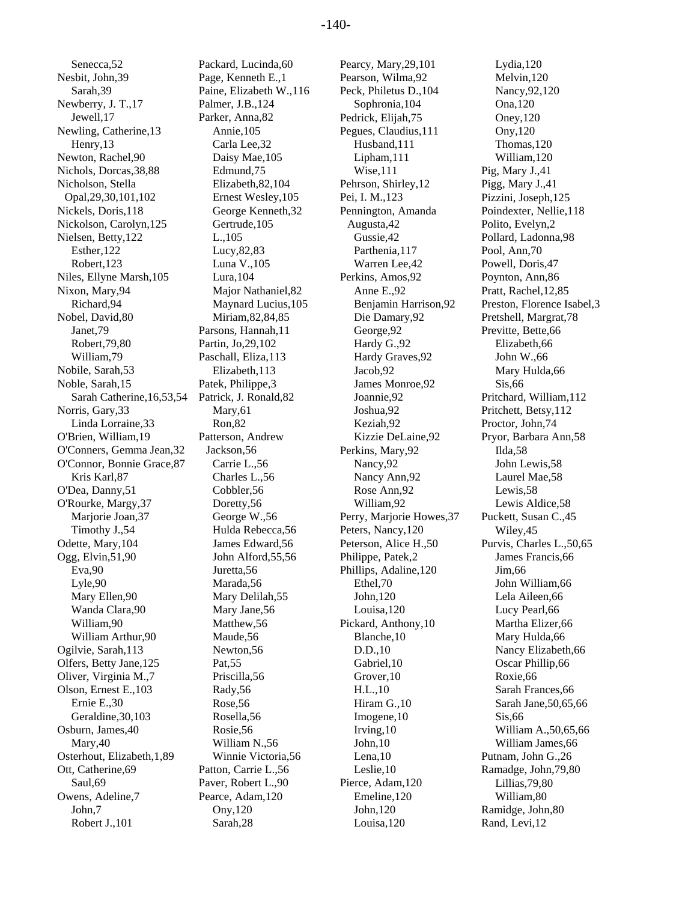Senecca,52 Nesbit, John,39 Sarah,39 Newberry, J. T.,17 Jewell,17 Newling, Catherine,13 Henry,13 Newton, Rachel,90 Nichols, Dorcas,38,88 Nicholson, Stella Opal,29,30,101,102 Nickels, Doris,118 Nickolson, Carolyn,125 Nielsen, Betty,122 Esther,122 Robert,123 Niles, Ellyne Marsh,105 Nixon, Mary,94 Richard,94 Nobel, David,80 Janet,79 Robert,79,80 William,79 Nobile, Sarah,53 Noble, Sarah,15 Sarah Catherine,16,53,54 Norris, Gary,33 Linda Lorraine,33 O'Brien, William,19 O'Conners, Gemma Jean,32 O'Connor, Bonnie Grace,87 Kris Karl,87 O'Dea, Danny,51 O'Rourke, Margy,37 Marjorie Joan,37 Timothy J.,54 Odette, Mary,104 Ogg, Elvin,51,90 Eva,90 Lyle,90 Mary Ellen,90 Wanda Clara,90 William,90 William Arthur,90 Ogilvie, Sarah,113 Olfers, Betty Jane,125 Oliver, Virginia M.,7 Olson, Ernest E.,103 Ernie E.,30 Geraldine,30,103 Osburn, James,40 Mary,40 Osterhout, Elizabeth,1,89 Ott, Catherine,69 Saul,69 Owens, Adeline,7 John,7 Robert J.,101

Packard, Lucinda,60 Page, Kenneth E.,1 Paine, Elizabeth W.,116 Palmer, J.B.,124 Parker, Anna,82 Annie,105 Carla Lee,32 Daisy Mae,105 Edmund,75 Elizabeth,82,104 Ernest Wesley,105 George Kenneth,32 Gertrude,105 L.,105 Lucy,82,83 Luna V.,105 Lura,104 Major Nathaniel,82 Maynard Lucius,105 Miriam,82,84,85 Parsons, Hannah,11 Partin, Jo,29,102 Paschall, Eliza,113 Elizabeth,113 Patek, Philippe,3 Patrick, J. Ronald,82 Mary,61 Ron,82 Patterson, Andrew Jackson,56 Carrie L.,56 Charles L.,56 Cobbler,56 Doretty,56 George W.,56 Hulda Rebecca,56 James Edward,56 John Alford,55,56 Juretta,56 Marada,56 Mary Delilah,55 Mary Jane,56 Matthew,56 Maude,56 Newton,56 Pat,55 Priscilla,56 Rady,56 Rose,56 Rosella,56 Rosie,56 William N.,56 Winnie Victoria,56 Patton, Carrie L.,56 Paver, Robert L.,90 Pearce, Adam,120 Ony,120 Sarah,28

Pearcy, Mary,29,101 Pearson, Wilma,92 Peck, Philetus D.,104 Sophronia,104 Pedrick, Elijah,75 Pegues, Claudius,111 Husband,111 Lipham,111 Wise,111 Pehrson, Shirley,12 Pei, I. M.,123 Pennington, Amanda Augusta,42 Gussie,42 Parthenia,117 Warren Lee,42 Perkins, Amos,92 Anne E.,92 Benjamin Harrison,92 Die Damary,92 George,92 Hardy G.,92 Hardy Graves,92 Jacob,92 James Monroe,92 Joannie,92 Joshua,92 Keziah,92 Kizzie DeLaine,92 Perkins, Mary,92 Nancy,92 Nancy Ann,92 Rose Ann,92 William,92 Perry, Marjorie Howes,37 Peters, Nancy,120 Peterson, Alice H.,50 Philippe, Patek,2 Phillips, Adaline,120 Ethel,70 John,120 Louisa,120 Pickard, Anthony,10 Blanche,10 D.D.,10 Gabriel,10 Grover,10 H.L.,10 Hiram G.,10 Imogene,10 Irving,10 John,10 Lena,10 Leslie,10 Pierce, Adam,120 Emeline,120 John,120 Louisa,120

Lydia,120 Melvin,120 Nancy,92,120 Ona,120 Oney,120 Ony,120 Thomas,120 William,120 Pig, Mary J.,41 Pigg, Mary J.,41 Pizzini, Joseph,125 Poindexter, Nellie,118 Polito, Evelyn,2 Pollard, Ladonna,98 Pool, Ann,70 Powell, Doris,47 Poynton, Ann,86 Pratt, Rachel,12,85 Preston, Florence Isabel,3 Pretshell, Margrat,78 Previtte, Bette,66 Elizabeth,66 John W.,66 Mary Hulda,66 Sis,66 Pritchard, William,112 Pritchett, Betsy,112 Proctor, John,74 Pryor, Barbara Ann,58 Ilda,58 John Lewis,58 Laurel Mae,58 Lewis,58 Lewis Aldice,58 Puckett, Susan C.,45 Wiley,45 Purvis, Charles L.,50,65 James Francis,66 Jim,66 John William,66 Lela Aileen,66 Lucy Pearl,66 Martha Elizer,66 Mary Hulda,66 Nancy Elizabeth,66 Oscar Phillip,66 Roxie,66 Sarah Frances,66 Sarah Jane,50,65,66 Sis,66 William A.,50,65,66 William James,66 Putnam, John G.,26 Ramadge, John,79,80 Lillias,79,80 William,80 Ramidge, John,80 Rand, Levi,12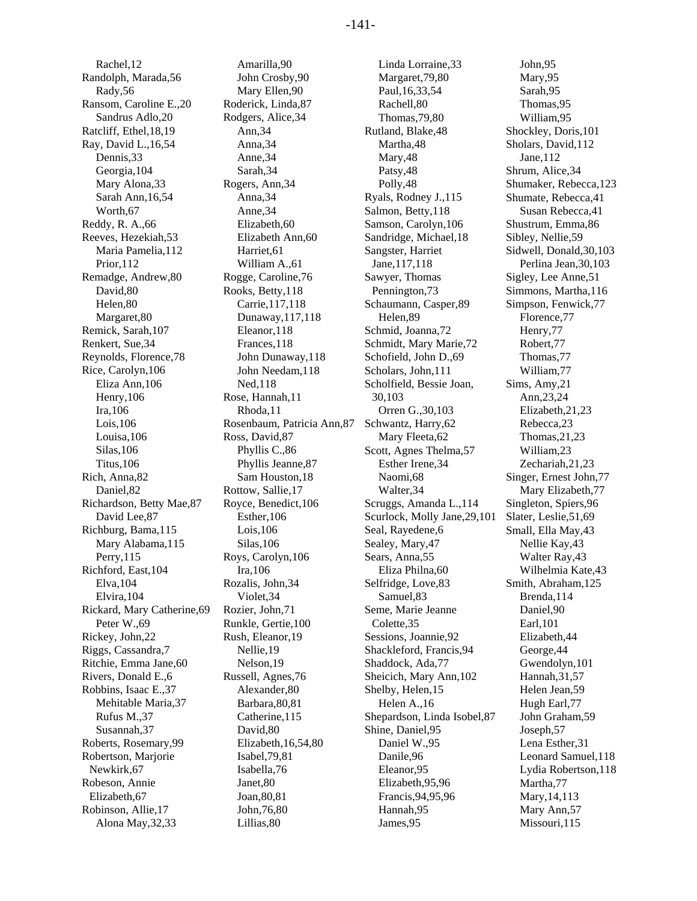Rachel,12 Randolph, Marada,56 Rady,56 Ransom, Caroline E.,20 Sandrus Adlo,20 Ratcliff, Ethel,18,19 Ray, David L.,16,54 Dennis,33 Georgia,104 Mary Alona,33 Sarah Ann,16,54 Worth,67 Reddy, R. A.,66 Reeves, Hezekiah,53 Maria Pamelia,112 Prior,112 Remadge, Andrew,80 David,80 Helen,80 Margaret,80 Remick, Sarah,107 Renkert, Sue,34 Reynolds, Florence,78 Rice, Carolyn,106 Eliza Ann,106 Henry,106 Ira,106 Lois,106 Louisa,106 Silas,106 Titus,106 Rich, Anna,82 Daniel,82 Richardson, Betty Mae,87 David Lee,87 Richburg, Bama,115 Mary Alabama,115 Perry,115 Richford, East,104 Elva,104 Elvira,104 Rickard, Mary Catherine,69 Peter W.,69 Rickey, John,22 Riggs, Cassandra,7 Ritchie, Emma Jane,60 Rivers, Donald E.,6 Robbins, Isaac E.,37 Mehitable Maria,37 Rufus M.,37 Susannah,37 Roberts, Rosemary,99 Robertson, Marjorie Newkirk,67 Robeson, Annie Elizabeth,67 Robinson, Allie,17 Alona May,32,33

Amarilla,90 John Crosby,90 Mary Ellen,90 Roderick, Linda,87 Rodgers, Alice,34 Ann,34 Anna,34 Anne,34 Sarah,34 Rogers, Ann,34 Anna,34 Anne,34 Elizabeth,60 Elizabeth Ann,60 Harriet,61 William A.,61 Rogge, Caroline,76 Rooks, Betty,118 Carrie,117,118 Dunaway,117,118 Eleanor,118 Frances,118 John Dunaway,118 John Needam,118 Ned,118 Rose, Hannah,11 Rhoda,11 Rosenbaum, Patricia Ann,87 Ross, David,87 Phyllis C.,86 Phyllis Jeanne,87 Sam Houston,18 Rottow, Sallie,17 Royce, Benedict,106 Esther,106 Lois,106 Silas,106 Roys, Carolyn,106 Ira,106 Rozalis, John,34 Violet,34 Rozier, John,71 Runkle, Gertie,100 Rush, Eleanor,19 Nellie,19 Nelson,19 Russell, Agnes,76 Alexander,80 Barbara,80,81 Catherine,115 David,80 Elizabeth,16,54,80 Isabel,79,81 Isabella,76 Janet,80 Joan,80,81 John,76,80 Lillias,80

Linda Lorraine,33 Margaret,79,80 Paul,16,33,54 Rachell,80 Thomas,79,80 Rutland, Blake,48 Martha,48 Mary,48 Patsy,48 Polly,48 Ryals, Rodney J.,115 Salmon, Betty,118 Samson, Carolyn,106 Sandridge, Michael,18 Sangster, Harriet Jane,117,118 Sawyer, Thomas Pennington,73 Schaumann, Casper,89 Helen,89 Schmid, Joanna,72 Schmidt, Mary Marie,72 Schofield, John D.,69 Scholars, John,111 Scholfield, Bessie Joan, 30,103 Orren G.,30,103 Schwantz, Harry,62 Mary Fleeta,62 Scott, Agnes Thelma,57 Esther Irene,34 Naomi,68 Walter,34 Scruggs, Amanda L.,114 Scurlock, Molly Jane,29,101 Seal, Rayedene,6 Sealey, Mary,47 Sears, Anna,55 Eliza Philna,60 Selfridge, Love,83 Samuel,83 Seme, Marie Jeanne Colette,35 Sessions, Joannie,92 Shackleford, Francis,94 Shaddock, Ada,77 Sheicich, Mary Ann,102 Shelby, Helen,15 Helen A.,16 Shepardson, Linda Isobel,87 Shine, Daniel,95 Daniel W.,95 Danile,96 Eleanor,95 Elizabeth,95,96 Francis,94,95,96 Hannah,95 James,95

John,95 Mary,95 Sarah,95 Thomas,95 William,95 Shockley, Doris,101 Sholars, David,112 Jane,112 Shrum, Alice,34 Shumaker, Rebecca,123 Shumate, Rebecca,41 Susan Rebecca,41 Shustrum, Emma,86 Sibley, Nellie,59 Sidwell, Donald,30,103 Perlina Jean,30,103 Sigley, Lee Anne,51 Simmons, Martha,116 Simpson, Fenwick,77 Florence,77 Henry,77 Robert,77 Thomas,77 William,77 Sims, Amy,21 Ann,23,24 Elizabeth,21,23 Rebecca,23 Thomas,21,23 William,23 Zechariah,21,23 Singer, Ernest John,77 Mary Elizabeth,77 Singleton, Spiers,96 Slater, Leslie,51,69 Small, Ella May,43 Nellie Kay,43 Walter Ray,43 Wilhelmia Kate,43 Smith, Abraham,125 Brenda,114 Daniel,90 Earl,101 Elizabeth,44 George,44 Gwendolyn,101 Hannah,31,57 Helen Jean,59 Hugh Earl,77 John Graham,59 Joseph,57 Lena Esther,31 Leonard Samuel,118 Lydia Robertson,118 Martha,77 Mary,14,113 Mary Ann,57 Missouri,115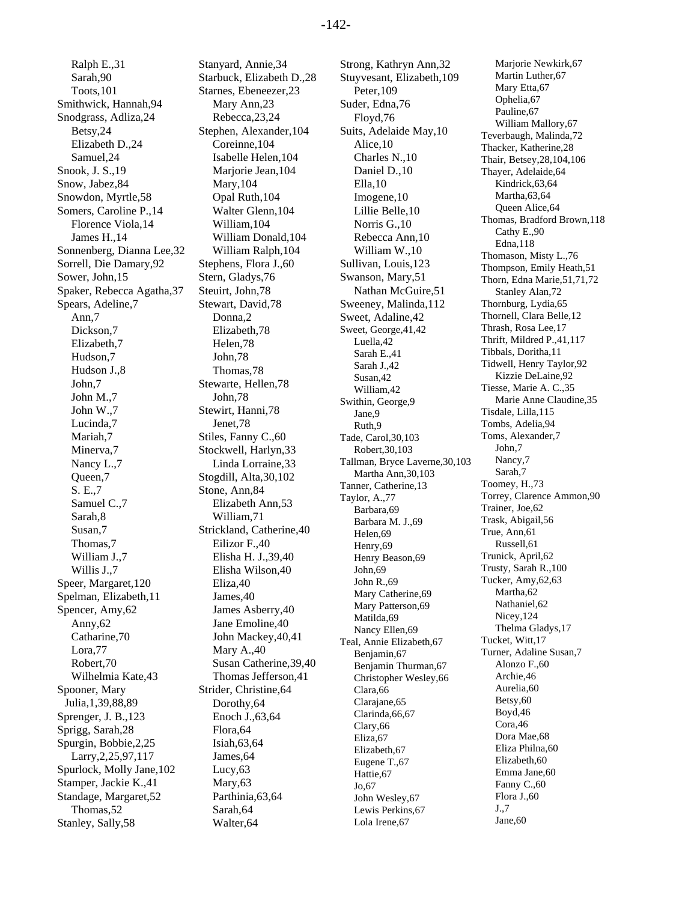Ralph E.,31 Sarah,90 Toots,101 Smithwick, Hannah,94 Snodgrass, Adliza,24 Betsy,24 Elizabeth D.,24 Samuel,24 Snook, J. S.,19 Snow, Jabez,84 Snowdon, Myrtle,58 Somers, Caroline P.,14 Florence Viola,14 James H.,14 Sonnenberg, Dianna Lee,32 Sorrell, Die Damary,92 Sower, John,15 Spaker, Rebecca Agatha,37 Spears, Adeline,7 Ann,7 Dickson,7 Elizabeth,7 Hudson,7 Hudson J.,8 John,7 John M.,7 John W.,7 Lucinda,7 Mariah,7 Minerva,7 Nancy L.,7 Queen,7 S. E.,7 Samuel C.,7 Sarah,8 Susan,7 Thomas,7 William J.,7 Willis J.,7 Speer, Margaret,120 Spelman, Elizabeth,11 Spencer, Amy,62 Anny,62 Catharine,70 Lora,77 Robert,70 Wilhelmia Kate,43 Spooner, Mary Julia,1,39,88,89 Sprenger, J. B.,123 Sprigg, Sarah,28 Spurgin, Bobbie,2,25 Larry,2,25,97,117 Spurlock, Molly Jane,102 Stamper, Jackie K.,41 Standage, Margaret,52 Thomas,52 Stanley, Sally,58

Stanyard, Annie,34 Starbuck, Elizabeth D.,28 Starnes, Ebeneezer,23 Mary Ann,23 Rebecca,23,24 Stephen, Alexander,104 Coreinne,104 Isabelle Helen,104 Marjorie Jean,104 Mary,104 Opal Ruth,104 Walter Glenn,104 William,104 William Donald,104 William Ralph,104 Stephens, Flora J.,60 Stern, Gladys,76 Steuirt, John,78 Stewart, David,78 Donna,2 Elizabeth,78 Helen,78 John,78 Thomas,78 Stewarte, Hellen,78 John,78 Stewirt, Hanni,78 Jenet,78 Stiles, Fanny C.,60 Stockwell, Harlyn,33 Linda Lorraine,33 Stogdill, Alta,30,102 Stone, Ann,84 Elizabeth Ann,53 William,71 Strickland, Catherine,40 Eilizor F.,40 Elisha H. J.,39,40 Elisha Wilson,40 Eliza,40 James,40 James Asberry,40 Jane Emoline,40 John Mackey,40,41 Mary A.,40 Susan Catherine,39,40 Thomas Jefferson,41 Strider, Christine,64 Dorothy,64 Enoch J.,63,64 Flora,64 Isiah,63,64 James,64 Lucy,63 Mary,63 Parthinia,63,64 Sarah,64 Walter,64

Strong, Kathryn Ann,32 Stuyvesant, Elizabeth,109 Peter,109 Suder, Edna,76 Floyd,76 Suits, Adelaide May,10 Alice,10 Charles N.,10 Daniel D.,10 Ella,10 Imogene,10 Lillie Belle,10 Norris G.,10 Rebecca Ann,10 William W.,10 Sullivan, Louis,123 Swanson, Mary,51 Nathan McGuire,51 Sweeney, Malinda,112 Sweet, Adaline,42 Sweet, George,41,42 Luella,42 Sarah E.,41 Sarah J.,42 Susan,42 William,42 Swithin, George,9 Jane,9 Ruth,9 Tade, Carol,30,103 Robert,30,103 Tallman, Bryce Laverne,30,103 Martha Ann,30,103 Tanner, Catherine,13 Taylor, A.,77 Barbara,69 Barbara M. J.,69 Helen,69 Henry,69 Henry Beason,69 John,69 John R.,69 Mary Catherine,69 Mary Patterson,69 Matilda,69 Nancy Ellen,69 Teal, Annie Elizabeth,67 Benjamin,67 Benjamin Thurman,67 Christopher Wesley,66 Clara,66 Clarajane,65 Clarinda,66,67 Clary,66 Eliza,67 Elizabeth,67 Eugene T.,67 Hattie,67 Jo,67 John Wesley,67 Lewis Perkins,67 Lola Irene,67

Marjorie Newkirk,67 Martin Luther, 67 Mary Etta,67 Ophelia,67 Pauline,67 William Mallory,67 Teverbaugh, Malinda,72 Thacker, Katherine,28 Thair, Betsey,28,104,106 Thayer, Adelaide,64 Kindrick,63,64 Martha,63,64 Queen Alice,64 Thomas, Bradford Brown,118 Cathy E.,90 Edna,118 Thomason, Misty L.,76 Thompson, Emily Heath,51 Thorn, Edna Marie,51,71,72 Stanley Alan,72 Thornburg, Lydia,65 Thornell, Clara Belle,12 Thrash, Rosa Lee,17 Thrift, Mildred P.,41,117 Tibbals, Doritha,11 Tidwell, Henry Taylor,92 Kizzie DeLaine,92 Tiesse, Marie A. C.,35 Marie Anne Claudine,35 Tisdale, Lilla,115 Tombs, Adelia,94 Toms, Alexander,7 John,7 Nancy,7 Sarah,7 Toomey, H.,73 Torrey, Clarence Ammon,90 Trainer, Joe,62 Trask, Abigail,56 True, Ann,61 Russell,61 Trunick, April,62 Trusty, Sarah R.,100 Tucker, Amy,62,63 Martha,62 Nathaniel,62 Nicey,124 Thelma Gladys,17 Tucket, Witt,17 Turner, Adaline Susan,7 Alonzo F.,60 Archie,46 Aurelia,60 Betsy,60 Boyd,46 Cora,46 Dora Mae,68 Eliza Philna,60 Elizabeth,60 Emma Jane,60 Fanny C.,60 Flora J.,60 J.,7 Jane,60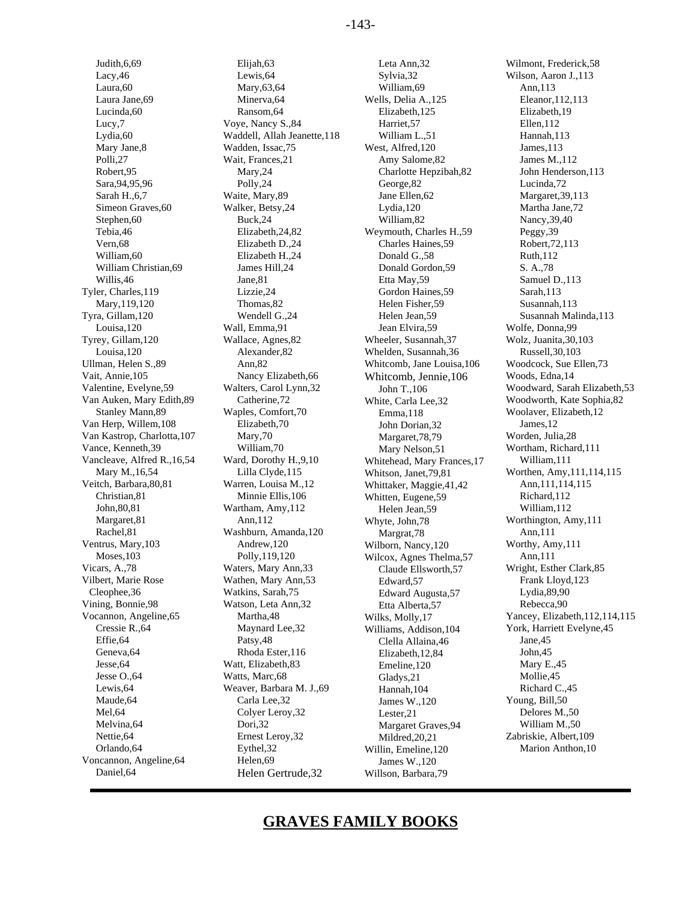Tyler, Charles,119 Lizzie,24 Gordon Haines,59 Sarah,113 Tyra, Gillam,120 Wendell G.,24 Helen Jean,59 Susannah Malinda,113 Tyrey, Gillam,120 Wallace, Agnes,82 Wheeler, Susannah,37 Wolz, Juanita,30,103 Ullman, Helen S.,89 Ann,82 Whitcomb, Jane Louisa,106 Woodcock, Sue Ellen,73 Vait, Annie,105 Nancy Elizabeth,66 Whitcomb, Jennie,106 Woods, Edna,14<br>
Valentine, Evelyne,59 Walters, Carol Lynn,32 John T..106 Woodward, Sara Van Auken, Mary Edith,89 Catherine,72 White, Carla Lee,32<br>Stanley Mann,89 Waples, Comfort,70 Emma.118 Van Herp, Willem, 108 Elizabeth, 70 John Dorian, 32 James, 12<br>
Van Kastrop, Charlotta, 107 Mary, 70 Marcaret 78.79 Worden, Julia, 28 Van Kastrop, Charlotta,107 Mary,70 Margaret,78,79 Vance, Kenneth,39 William,70 Mary Nelson,51 Wortham, Richard,111 Vancleave, Alfred R.,16,54 Ward, Dorothy H.,9,10 Whitehead, Mary Frances,17 William,111 Rachel,81 Washburn, Amanda,120 Margrat,78 Ann,111<br>Ventrus, Mary,103 Andrew,120 Wilborn, Nancy,120 Worthy, Amy,111 Moses,103 Polly,119,120 Wilcox, Agnes Thelma,57<br>Vicars, A.,78 Waters, Mary Ann,33 Claude Ellsworth.57 Vicars, A.,78 Waters, Mary Ann, 33 Claude Ellsworth, 57 Wright, Esther Clark, 85<br>Vilbert, Marie Rose Wathen, Mary Ann, 53 Edward. 57 Frank Lloyd, 123 Cleophee,36 Vining, Bonnie,98 Watson, Leta Ann,32 Etta Alberta,57 Rebecca,90 Voncannon, Angeline, 64 Helen, 69 James W., 120

Judith,6,69 Elijah,63 Leta Ann,32 Wilmont, Frederick,58 Lacy,46 Lewis,64 Sylvia,32 Wilson, Aaron J.,113 Laura,60 Mary,63,64 William,69 Ann,113 Laura Jane,69 Minerva,64 Wells, Delia A.,125 Eleanor,112,113 Lucinda,60 Ransom,64 Elizabeth,125 Elizabeth,19 Lucy,7 Voye, Nancy S.,84 Harriet,57 Ellen,112 Lydia,60 Waddell, Allah Jeanette,118 William L.,51 Hannah,113 Mary Jane,8 Wadden, Issac,75 West, Alfred,120 James,113 Polli, 27 Wait, Frances, 21 Amy Salome, 82 James M., 112 Robert,95 Mary,24 Charlotte Hepzibah,82 John Henderson,113 Sara, 94, 95, 96 **Polly, 24** George, 82 Lucinda, 72 Sarah H., 6,7 Waite, Mary, 89 Jane Ellen, 62 Margaret, 39, 113 Simeon Graves, 60 Walker, Betsy, 24 Lydia, 120 Martha Jane, 72 Stephen,60 Buck,24 William,82 Nancy,39,40 Tebia,46 Elizabeth,24,82 Weymouth, Charles H.,59 Peggy,39 Vern,68 Elizabeth D.,24 Charles Haines,59 Robert,72,113 William, 60 **Elizabeth H., 24** Donald G., 58 Ruth, 112 William Christian, 69 James Hill, 24 Donald Gordon, 59 S. A., 78 Willis, 46 **Jane, 81** Jane, 81 **Etta May, 59** Samuel D.,113 Mary,119,120 Thomas,82 Helen Fisher,59 Susannah,113 Louisa,120 Wall, Emma,91 Jean Elvira,59 Wolfe, Donna,99 Louisa,120 Alexander,82 Whelden, Susannah,36 Russell,30,103 itch, Barbara, 80,81 Warren, Louisa M., 12 Whittaker, Maggie, 41, 42 Ann, 111, 114<br>Christian, 81 Minnie Ellis, 106 Whitten, Fugene, 59 Richard, 112 Christian,81 Minnie Ellis,106 Whitten, Eugene,59 Richard,112<br>
John,80,81 Wartham, Amy,112 Helen Jean, 59 William,112 John,80,81 Wartham, Amy,112 Helen Jean,59<br>Margaret,81 Ann,112 Whyte John 78 Margaret,81 **Ann,112** Ann,112 Whyte, John,78 Worthington, Amy,111 Rachel,81 Washburn, Amanda,120 Margrat.78 Ann,111 ntrus, Mary, 103 **Andrew, 120** Wilborn, Nancy, 120 Worthy, Am<br>Moses, 103 Polly, 119, 120 Wilcox. Agnes Thelma. 57 Ann, 111 Wathen, Mary Ann,53 Watkins, Sarah,75 Edward Augusta,57 Lydia,89,90 Cressie R.,64 Maynard Lee,32 Williams, Addison,104 York, Harriett Evelyne,45<br>Effie,64 Patsy,48 Clella Allaina 46 Jane,45 Effie,64 **Patsy,48** Clella Allaina,46 Jane,45<br>
Geneva,64 Rhoda Ester,116 Flizabeth.12.84 John,45 Geneva,64 Rhoda Ester,116 Elizabeth,12,84 John,45<br>
Jesse,64 Watt, Elizabeth,83 Fmeline.120 Mary E.45 Vatt, Elizabeth, 83 Emeline, 120 Mary E., 4<br>
Jesse O. 64 Watts, Marc. 68 Gladys 21 Mollie, 45 Jesse O.,64 Watts, Marc,68 Gladys,21 Mollie,45<br>
Lewis,64 Weaver, Barbara M. J.,69 Hannah.104 Richard C.,45 Lewis,64 Weaver, Barbara M. J.,69 Hannah,104 Richard C.,4<br>Maude,64 Carla Lee,32 James W. 120 Young, Bill,50 Maude,64 Carla Lee,32 James W.,120 Young, Bill,50<br>
Mel.64 Colver Leroy.32 Jester.21 Delores M.,50 Mel,64 Colyer Leroy,32 Lester,21 Delores M.,50<br>Melvina,64 Dori,32 Margaret Graves.94 William M.,50 Nettie,64 Ernest Leroy,32 Mildred,20,21 Zabriskie, Albert,109 Orlando,64 Eythel,32 Willin, Emeline,120 Marion Anthon,10 Daniel,64 Helen Gertrude,32 Willson, Barbara,79

ples, Comfort,70 Emma,118 Woolaver, Elizabeth,12<br>Elizabeth.70 Iohn Dorian 32 James.12 Edward,57 Margaret Graves,94

1991 ulters, Carol Lynn, 32 John T., 106 Woodward, Sarah Elizabeth, 53<br>
Catherine, 72 White, Carla Lee, 32 Woodworth, Kate Sophia, 82 Mary M.,16,54 Lilla Clyde,115 Whitson, Janet, 79,81 Worthen, Amy, 111, 114, 115<br>Veitch, Barbara, 80,81 Warren, Louisa M., 12 Whittaker. Maggie. 41.42 Ann, 111, 114, 115 Vocannon, Angeline,65 Martha,48 Wilks, Molly,17 Yancey, Elizabeth,112,114,115<br>Cressie R..64 Maynard Lee.32 Williams Addison 104 York. Harriett Evelyne.45

# **GRAVES FAMILY BOOKS**